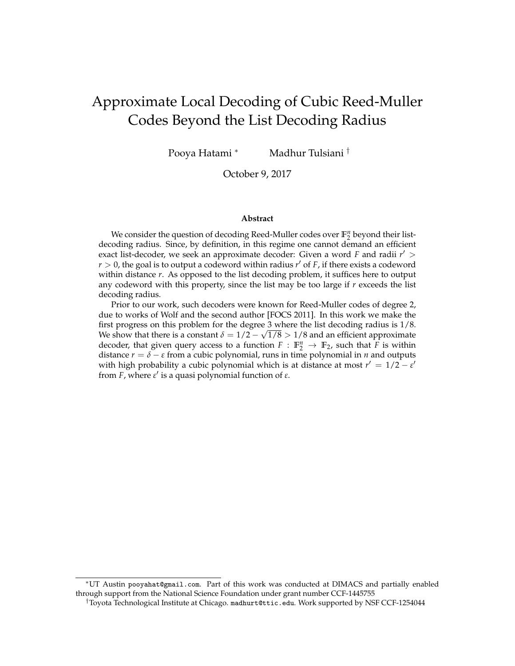# <span id="page-0-0"></span>Approximate Local Decoding of Cubic Reed-Muller Codes Beyond the List Decoding Radius

Pooya Hatami <sup>∗</sup> Madhur Tulsiani <sup>†</sup>

October 9, 2017

#### **Abstract**

We consider the question of decoding Reed-Muller codes over  $\mathbb{F}_2^n$  beyond their listdecoding radius. Since, by definition, in this regime one cannot demand an efficient exact list-decoder, we seek an approximate decoder: Given a word *F* and radii  $r'$  >  $r > 0$ , the goal is to output a codeword within radius  $r'$  of *F*, if there exists a codeword within distance *r*. As opposed to the list decoding problem, it suffices here to output any codeword with this property, since the list may be too large if *r* exceeds the list decoding radius.

Prior to our work, such decoders were known for Reed-Muller codes of degree 2, due to works of Wolf and the second author [FOCS 2011]. In this work we make the first progress on this problem for the degree 3 where the list decoding radius is 1/8. We show that there is a constant  $\delta = 1/2 - \sqrt{1/8} > 1/8$  and an efficient approximate decoder, that given query access to a function  $F : \mathbb{F}_2^n \to \mathbb{F}_2$ , such that *F* is within distance  $r = \delta - \varepsilon$  from a cubic polynomial, runs in time polynomial in *n* and outputs with high probability a cubic polynomial which is at distance at most  $r' = 1/2 - \varepsilon'$ from *F*, where *ε'* is a quasi polynomial function of *ε*.

<sup>∗</sup>UT Austin pooyahat@gmail.com. Part of this work was conducted at DIMACS and partially enabled through support from the National Science Foundation under grant number CCF-1445755

<sup>†</sup>Toyota Technological Institute at Chicago. madhurt@ttic.edu. Work supported by NSF CCF-1254044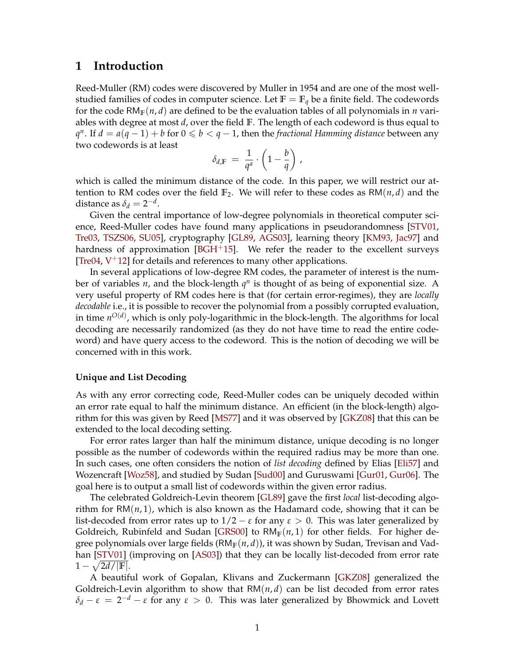### **1 Introduction**

Reed-Muller (RM) codes were discovered by Muller in 1954 and are one of the most wellstudied families of codes in computer science. Let  $\mathbb{F} = \mathbb{F}_q$  be a finite field. The codewords for the code  $RM_F(n, d)$  are defined to be the evaluation tables of all polynomials in *n* variables with degree at most *d*, over the field **F**. The length of each codeword is thus equal to *q*<sup>*n*</sup>. If *d* = *a*(*q* − 1) + *b* for 0 ≤ *b* < *q* − 1, then the *fractional Hamming distance* between any two codewords is at least

$$
\delta_{d,\mathbb{F}} = \frac{1}{q^a} \cdot \left(1 - \frac{b}{q}\right) \,,
$$

which is called the minimum distance of the code. In this paper, we will restrict our attention to RM codes over the field  $\mathbb{F}_2$ . We will refer to these codes as  $\mathbb{R}(\mathfrak{m},d)$  and the distance as  $\delta_d = 2^{-d}$ .

Given the central importance of low-degree polynomials in theoretical computer science, Reed-Muller codes have found many applications in pseudorandomness [\[STV01,](#page-26-0) [Tre03,](#page-26-1) [TSZS06,](#page-26-2) [SU05\]](#page-26-3), cryptography [\[GL89,](#page-25-0) [AGS03\]](#page-24-0), learning theory [\[KM93,](#page-25-1) [Jac97\]](#page-25-2) and hardness of approximation  $[BGH^+15]$  $[BGH^+15]$ . We refer the reader to the excellent surveys [\[Tre04,](#page-26-4)  $V^+$ [12\]](#page-27-0) for details and references to many other applications.

In several applications of low-degree RM codes, the parameter of interest is the number of variables  $n$ , and the block-length  $q^n$  is thought of as being of exponential size. A very useful property of RM codes here is that (for certain error-regimes), they are *locally decodable* i.e., it is possible to recover the polynomial from a possibly corrupted evaluation, in time  $n^{O(d)}$ , which is only poly-logarithmic in the block-length. The algorithms for local decoding are necessarily randomized (as they do not have time to read the entire codeword) and have query access to the codeword. This is the notion of decoding we will be concerned with in this work.

#### **Unique and List Decoding**

As with any error correcting code, Reed-Muller codes can be uniquely decoded within an error rate equal to half the minimum distance. An efficient (in the block-length) algorithm for this was given by Reed [\[MS77\]](#page-26-5) and it was observed by [\[GKZ08\]](#page-25-3) that this can be extended to the local decoding setting.

For error rates larger than half the minimum distance, unique decoding is no longer possible as the number of codewords within the required radius may be more than one. In such cases, one often considers the notion of *list decoding* defined by Elias [\[Eli57\]](#page-25-4) and Wozencraft [\[Woz58\]](#page-27-1), and studied by Sudan [\[Sud00\]](#page-26-6) and Guruswami [\[Gur01,](#page-25-5) [Gur06\]](#page-25-6). The goal here is to output a small list of codewords within the given error radius.

The celebrated Goldreich-Levin theorem [\[GL89\]](#page-25-0) gave the first *local* list-decoding algorithm for  $RM(n, 1)$ , which is also known as the Hadamard code, showing that it can be list-decoded from error rates up to  $1/2 - \varepsilon$  for any  $\varepsilon > 0$ . This was later generalized by Goldreich, Rubinfeld and Sudan [\[GRS00\]](#page-25-7) to  $RM_{\mathbb{F}}(n,1)$  for other fields. For higher degree polynomials over large fields (RM**F**(*n*, *d*)), it was shown by Sudan, Trevisan and Vad-han [\[STV01\]](#page-26-0) (improving on [\[AS03\]](#page-24-2)) that they can be locally list-decoded from error rate  $1 - \sqrt{2d/|\mathbb{F}|}.$ 

A beautiful work of Gopalan, Klivans and Zuckermann [\[GKZ08\]](#page-25-3) generalized the Goldreich-Levin algorithm to show that  $RM(n, d)$  can be list decoded from error rates *δ*<sub>*d*</sub> − *ε* = 2<sup>-*d*</sup> − *ε* for any *ε* > 0. This was later generalized by Bhowmick and Lovett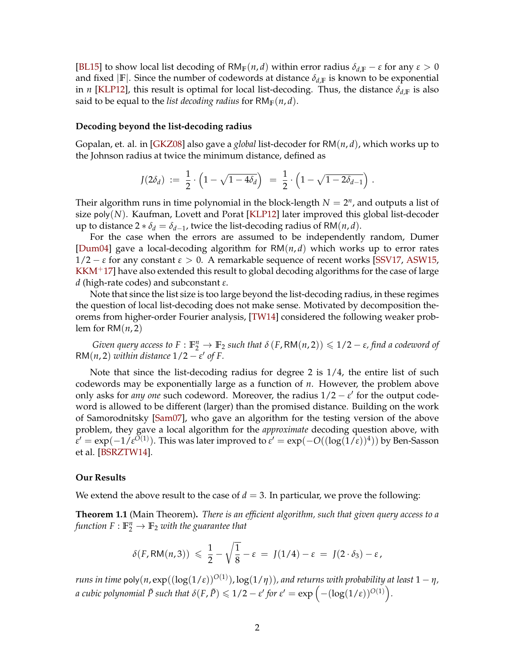<span id="page-2-1"></span>[\[BL15\]](#page-24-3) to show local list decoding of RM<sub>F</sub>(*n*, *d*) within error radius  $\delta_{d,F} - \varepsilon$  for any  $\varepsilon > 0$ and fixed  $|\mathbf{F}|$ . Since the number of codewords at distance  $\delta_{d,\mathbf{F}}$  is known to be exponential in *n* [\[KLP12\]](#page-25-8), this result is optimal for local list-decoding. Thus, the distance  $\delta_{d,\mathbb{F}}$  is also said to be equal to the *list decoding radius* for  $RM_{\mathbb{F}}(n,d)$ .

#### **Decoding beyond the list-decoding radius**

Gopalan, et. al. in [\[GKZ08\]](#page-25-3) also gave a *global* list-decoder for RM(*n*, *d*), which works up to the Johnson radius at twice the minimum distance, defined as

$$
J(2\delta_d) := \frac{1}{2} \cdot \left(1 - \sqrt{1 - 4\delta_d}\right) = \frac{1}{2} \cdot \left(1 - \sqrt{1 - 2\delta_{d-1}}\right).
$$

Their algorithm runs in time polynomial in the block-length  $N = 2<sup>n</sup>$ , and outputs a list of size poly(*N*). Kaufman, Lovett and Porat [\[KLP12\]](#page-25-8) later improved this global list-decoder up to distance  $2 * \delta_d = \delta_{d-1}$ , twice the list-decoding radius of RM $(n, d)$ .

For the case when the errors are assumed to be independently random, Dumer [\[Dum04\]](#page-25-9) gave a local-decoding algorithm for RM(*n*, *d*) which works up to error rates  $1/2 - \varepsilon$  for any constant  $\varepsilon > 0$ . A remarkable sequence of recent works [\[SSV17,](#page-26-7) [ASW15,](#page-24-4)  $KKM^+17$  $KKM^+17$ ] have also extended this result to global decoding algorithms for the case of large *d* (high-rate codes) and subconstant *ε*.

Note that since the list size is too large beyond the list-decoding radius, in these regimes the question of local list-decoding does not make sense. Motivated by decomposition theorems from higher-order Fourier analysis, [\[TW14\]](#page-26-8) considered the following weaker problem for RM(*n*, 2)

*Given query access to*  $F : \mathbb{F}_2^n \to \mathbb{F}_2$  *such that*  $\delta(F, \text{RM}(n, 2)) \leqslant 1/2 - \varepsilon$ , find a codeword of RM(*n*, 2) *within distance*  $1/2 - \varepsilon'$  *of F.* 

Note that since the list-decoding radius for degree 2 is 1/4, the entire list of such codewords may be exponentially large as a function of *n*. However, the problem above only asks for *any one* such codeword. Moreover, the radius  $1/2 - \varepsilon'$  for the output codeword is allowed to be different (larger) than the promised distance. Building on the work of Samorodnitsky [\[Sam07\]](#page-26-9), who gave an algorithm for the testing version of the above problem, they gave a local algorithm for the *approximate* decoding question above, with  $\epsilon' = \exp(-1/\epsilon^{\bar{O}(1)})$ . This was later improved to  $\epsilon' = \exp(-O((\log(1/\epsilon))^4))$  by Ben-Sasson et al. [\[BSRZTW14\]](#page-24-5).

#### **Our Results**

We extend the above result to the case of  $d = 3$ . In particular, we prove the following:

<span id="page-2-0"></span>**Theorem 1.1** (Main Theorem)**.** *There is an efficient algorithm, such that given query access to a* function  $F: \mathbb{F}_2^n \to \mathbb{F}_2$  with the guarantee that

$$
\delta(F, \mathsf{RM}(n,3)) \leq \frac{1}{2} - \sqrt{\frac{1}{8}} - \varepsilon = J(1/4) - \varepsilon = J(2 \cdot \delta_3) - \varepsilon,
$$

 $r$ uns in time  $\mathsf{poly}(n,\exp((\log(1/\varepsilon))^{O(1)}),\log(1/\eta))$ , and returns with probability at least  $1-\eta$ ,  $a$  cubic polynomial  $\tilde{P}$  such that  $\delta(F,\tilde{P})\leqslant 1/2-\varepsilon'$  for  $\varepsilon'=\exp\left(-(\log(1/\varepsilon))^{O(1)}\right)$ .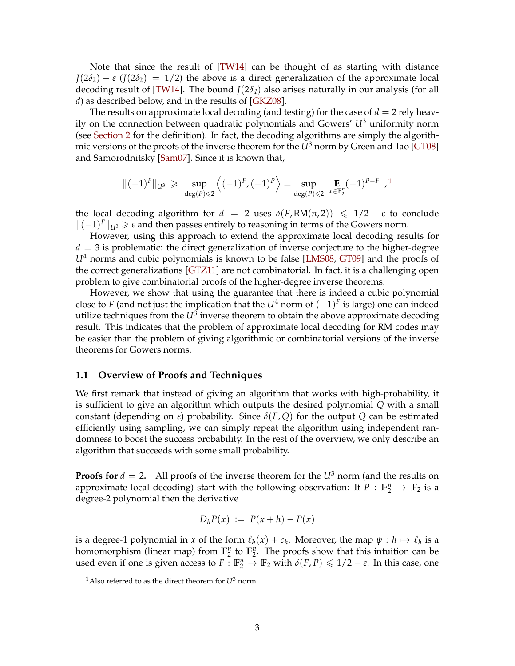<span id="page-3-1"></span>Note that since the result of [\[TW14\]](#page-26-8) can be thought of as starting with distance  $J(2\delta_2) - \varepsilon$  ( $J(2\delta_2) = 1/2$ ) the above is a direct generalization of the approximate local decoding result of [\[TW14\]](#page-26-8). The bound  $J(2\delta_d)$  also arises naturally in our analysis (for all *d*) as described below, and in the results of [\[GKZ08\]](#page-25-3).

The results on approximate local decoding (and testing) for the case of  $d = 2$  rely heavily on the connection between quadratic polynomials and Gowers' *U*<sup>3</sup> uniformity norm (see [Section 2](#page-5-0) for the definition). In fact, the decoding algorithms are simply the algorithmic versions of the proofs of the inverse theorem for the  $U^3$  norm by Green and Tao [\[GT08\]](#page-25-11) and Samorodnitsky [\[Sam07\]](#page-26-9). Since it is known that,

$$
\|(-1)^F\|_{L^{13}} \ \geqslant \ \sup_{\deg(P)\leqslant 2} \left\langle (-1)^F, (-1)^P\right\rangle = \sup_{\deg(P)\leqslant 2} \left| \mathop{\mathbf{E}}_{x\in \mathbb{F}_2^n} (-1)^{P-F} \right|,^{1}
$$

the local decoding algorithm for  $d = 2$  uses  $\delta(F, RM(n, 2)) \leq 1/2 - \varepsilon$  to conclude k(−1) *<sup>F</sup>*k*U*<sup>3</sup> > *<sup>ε</sup>* and then passes entirely to reasoning in terms of the Gowers norm.

However, using this approach to extend the approximate local decoding results for  $d = 3$  is problematic: the direct generalization of inverse conjecture to the higher-degree *U*<sup>4</sup> norms and cubic polynomials is known to be false [\[LMS08,](#page-26-10) [GT09\]](#page-25-12) and the proofs of the correct generalizations [\[GTZ11\]](#page-25-13) are not combinatorial. In fact, it is a challenging open problem to give combinatorial proofs of the higher-degree inverse theorems.

However, we show that using the guarantee that there is indeed a cubic polynomial close to *F* (and not just the implication that the  $U^4$  norm of  $(-1)^F$  is large) one can indeed utilize techniques from the  $U^3$  inverse theorem to obtain the above approximate decoding result. This indicates that the problem of approximate local decoding for RM codes may be easier than the problem of giving algorithmic or combinatorial versions of the inverse theorems for Gowers norms.

#### **1.1 Overview of Proofs and Techniques**

We first remark that instead of giving an algorithm that works with high-probability, it is sufficient to give an algorithm which outputs the desired polynomial *Q* with a small constant (depending on *ε*) probability. Since *δ*(*F*, *Q*) for the output *Q* can be estimated efficiently using sampling, we can simply repeat the algorithm using independent randomness to boost the success probability. In the rest of the overview, we only describe an algorithm that succeeds with some small probability.

**Proofs for**  $d = 2$ . All proofs of the inverse theorem for the  $U^3$  norm (and the results on approximate local decoding) start with the following observation: If  $P : \mathbb{F}_2^n \to \mathbb{F}_2$  is a degree-2 polynomial then the derivative

$$
D_h P(x) := P(x+h) - P(x)
$$

is a degree-1 polynomial in *x* of the form  $\ell_h(x) + c_h$ . Moreover, the map  $\psi : h \mapsto \ell_h$  is a homomorphism (linear map) from  $\mathbb{F}_2^n$  to  $\mathbb{F}_2^n$ . The proofs show that this intuition can be used even if one is given access to  $F: \mathbb{F}_2^n \to \mathbb{F}_2$  with  $\delta(F, P) \leq 1/2 - \varepsilon$ . In this case, one

<span id="page-3-0"></span><sup>&</sup>lt;sup>1</sup>Also referred to as the direct theorem for  $U^3$  norm.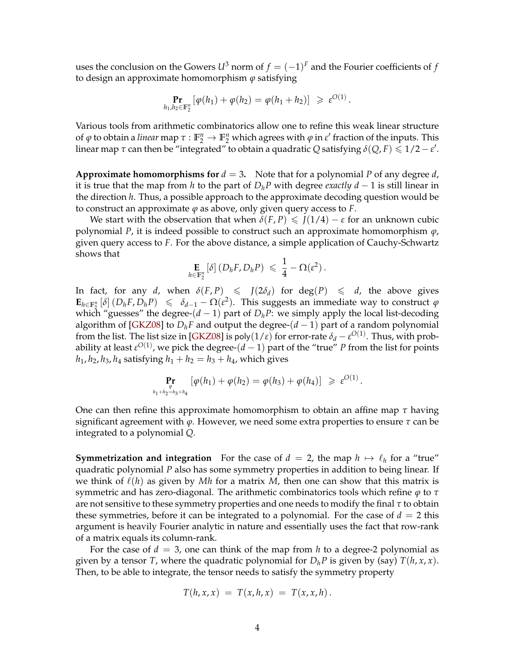<span id="page-4-0"></span>uses the conclusion on the Gowers  $U^3$  norm of  $f=(-1)^F$  and the Fourier coefficients of  $f$ to design an approximate homomorphism *ϕ* satisfying

$$
\Pr_{h_1,h_2 \in \mathbb{F}_2^n} [\varphi(h_1) + \varphi(h_2) = \varphi(h_1 + h_2)] \geq \varepsilon^{O(1)}.
$$

Various tools from arithmetic combinatorics allow one to refine this weak linear structure of  $\varphi$  to obtain a *linear* map  $\tau : \mathbb{F}_2^n \to \mathbb{F}_2^n$  which agrees with  $\varphi$  in  $\varepsilon'$  fraction of the inputs. This linear map  $\tau$  can then be "integrated" to obtain a quadratic Q satisfying  $\delta(Q, F) \leqslant 1/2 - \varepsilon'$ .

**Approximate homomorphisms for**  $d = 3$ . Note that for a polynomial P of any degree d, it is true that the map from *h* to the part of  $D_h P$  with degree *exactly d* − 1 is still linear in the direction *h*. Thus, a possible approach to the approximate decoding question would be to construct an approximate  $\varphi$  as above, only given query access to  $F$ .

We start with the observation that when  $\delta(F, P) \leq J(1/4) - \varepsilon$  for an unknown cubic polynomial *P*, it is indeed possible to construct such an approximate homomorphism *ϕ*, given query access to *F*. For the above distance, a simple application of Cauchy-Schwartz shows that

$$
\mathop{\mathbf{E}}_{h \in \mathbb{F}_2^n} [\delta] (D_h F, D_h P) \leqslant \frac{1}{4} - \Omega(\varepsilon^2).
$$

In fact, for any *d*, when  $\delta(F, P) \leq J(2\delta_d)$  for  $deg(P) \leq d$ , the above gives  $\mathbf{E}_{h \in \mathbb{F}_2^n} [\delta] (D_h F, D_h P) \le \delta_{d-1} - \Omega(\varepsilon^2)$ . This suggests an immediate way to construct  $\varphi$ which "guesses" the degree- $(d-1)$  part of  $D_hP$ : we simply apply the local list-decoding algorithm of [\[GKZ08\]](#page-25-3) to  $D_hF$  and output the degree-( $d-1$ ) part of a random polynomial from the list. The list size in [\[GKZ08\]](#page-25-3) is poly $(1/\varepsilon)$  for error-rate  $\delta_d - \varepsilon^{O(1)}$ . Thus, with probability at least  $\varepsilon^{O(1)}$ , we pick the degree- $(d-1)$  part of the "true"  $P$  from the list for points  $h_1$ ,  $h_2$ ,  $h_3$ ,  $h_4$  satisfying  $h_1 + h_2 = h_3 + h_4$ , which gives

$$
\Pr_{\phi \atop h_1 + h_2 = h_3 + h_4} [\varphi(h_1) + \varphi(h_2) = \varphi(h_3) + \varphi(h_4)] \geqslant \varepsilon^{O(1)}.
$$

One can then refine this approximate homomorphism to obtain an affine map *τ* having significant agreement with *ϕ*. However, we need some extra properties to ensure *τ* can be integrated to a polynomial *Q*.

**Symmetrization and integration** For the case of  $d = 2$ , the map  $h \mapsto \ell_h$  for a "true" quadratic polynomial *P* also has some symmetry properties in addition to being linear. If we think of  $\ell(h)$  as given by *Mh* for a matrix *M*, then one can show that this matrix is symmetric and has zero-diagonal. The arithmetic combinatorics tools which refine *ϕ* to *τ* are not sensitive to these symmetry properties and one needs to modify the final *τ* to obtain these symmetries, before it can be integrated to a polynomial. For the case of  $d = 2$  this argument is heavily Fourier analytic in nature and essentially uses the fact that row-rank of a matrix equals its column-rank.

For the case of  $d = 3$ , one can think of the map from *h* to a degree-2 polynomial as given by a tensor *T*, where the quadratic polynomial for  $D_h P$  is given by (say)  $T(h, x, x)$ . Then, to be able to integrate, the tensor needs to satisfy the symmetry property

$$
T(h, x, x) = T(x, h, x) = T(x, x, h).
$$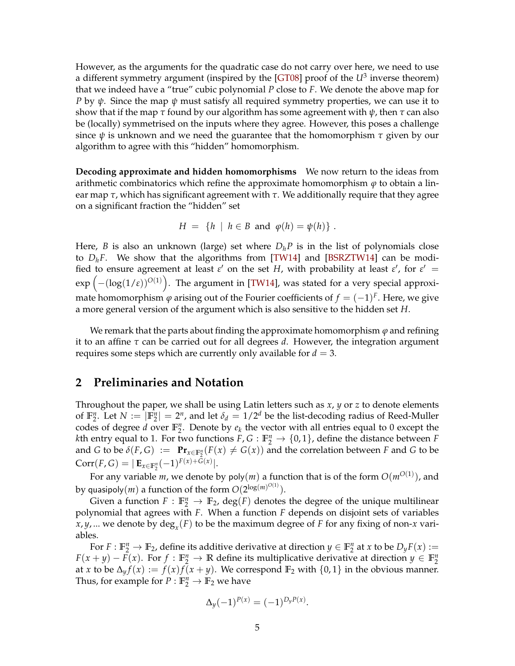<span id="page-5-1"></span>However, as the arguments for the quadratic case do not carry over here, we need to use a different symmetry argument (inspired by the [\[GT08\]](#page-25-11) proof of the *U*<sup>3</sup> inverse theorem) that we indeed have a "true" cubic polynomial *P* close to *F*. We denote the above map for *P* by *ψ*. Since the map *ψ* must satisfy all required symmetry properties, we can use it to show that if the map  $\tau$  found by our algorithm has some agreement with  $\psi$ , then  $\tau$  can also be (locally) symmetrised on the inputs where they agree. However, this poses a challenge since *ψ* is unknown and we need the guarantee that the homomorphism *τ* given by our algorithm to agree with this "hidden" homomorphism.

**Decoding approximate and hidden homomorphisms** We now return to the ideas from arithmetic combinatorics which refine the approximate homomorphism  $\varphi$  to obtain a linear map *τ*, which has significant agreement with *τ*. We additionally require that they agree on a significant fraction the "hidden" set

$$
H = \{ h \mid h \in B \text{ and } \varphi(h) = \psi(h) \} .
$$

Here, *B* is also an unknown (large) set where  $D_h P$  is in the list of polynomials close to *DhF*. We show that the algorithms from [\[TW14\]](#page-26-8) and [\[BSRZTW14\]](#page-24-5) can be modified to ensure agreement at least  $\varepsilon'$  on the set *H*, with probability at least  $\varepsilon'$ , for  $\varepsilon' =$ exp −(log(1/*ε*))*O*(1) . The argument in [\[TW14\]](#page-26-8), was stated for a very special approximate homomorphism  $\varphi$  arising out of the Fourier coefficients of  $f=(-1)^F.$  Here, we give a more general version of the argument which is also sensitive to the hidden set *H*.

We remark that the parts about finding the approximate homomorphism  $\varphi$  and refining it to an affine *τ* can be carried out for all degrees *d*. However, the integration argument requires some steps which are currently only available for  $d = 3$ .

### <span id="page-5-0"></span>**2 Preliminaries and Notation**

Throughout the paper, we shall be using Latin letters such as *x*, *y* or *z* to denote elements of  $\mathbb{F}_2^n$ . Let  $N := |\mathbb{F}_2^n| = 2^n$ , and let  $\delta_d = 1/2^d$  be the list-decoding radius of Reed-Muller codes of degree *d* over  $\mathbb{F}_2^n$ . Denote by  $e_k$  the vector with all entries equal to 0 except the *k*th entry equal to 1. For two functions  $F, G: \mathbb{F}_2^n \to \{0,1\}$ , define the distance between *F* and *G* to be  $\delta(F,G) := \mathbf{Pr}_{x \in \mathbb{F}_2^n}(F(x) \neq G(x))$  and the correlation between *F* and *G* to be  $Corr(F, G) = |\mathbf{E}_{x \in \mathbb{F}_2^n}(-1)^{F(x) + G(x)}|.$ 

For any variable *m*, we denote by poly(*m*) a function that is of the form *O*(*mO*(1) ), and by quasipoly $(m)$  a function of the form  $O(2^{\log(m)^{O(1)}}).$ 

Given a function  $F: \mathbb{F}_2^n \to \mathbb{F}_2$ ,  $\text{deg}(F)$  denotes the degree of the unique multilinear polynomial that agrees with *F*. When a function *F* depends on disjoint sets of variables *x*, *y*, ... we denote by deg*<sup>x</sup>* (*F*) to be the maximum degree of *F* for any fixing of non-*x* variables.

For  $F: \mathbb{F}_2^n \to \mathbb{F}_2$ , define its additive derivative at direction  $y \in \mathbb{F}_2^n$  at  $x$  to be  $D_y F(x) :=$ *F*(*x* + *y*) − *F*(*x*). For *f* :  $\mathbb{F}_2^n$  → **R** define its multiplicative derivative at direction *y* ∈  $\mathbb{F}_2^n$ at *x* to be  $\Delta_y f(x) := f(x)f(x+y)$ . We correspond  $\mathbb{F}_2$  with  $\{0,1\}$  in the obvious manner. Thus, for example for  $P : \mathbb{F}_2^n \to \mathbb{F}_2$  we have

$$
\Delta_y(-1)^{P(x)} = (-1)^{D_y P(x)}.
$$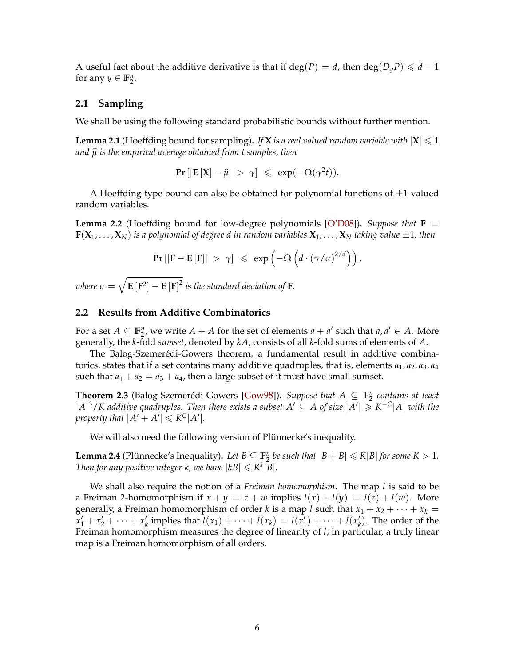<span id="page-6-2"></span>A useful fact about the additive derivative is that if deg(*P*) = *d*, then deg( $D_yP$ )  $\leq d-1$ for any  $y \in \mathbb{F}_2^n$ .

### **2.1 Sampling**

<span id="page-6-0"></span>We shall be using the following standard probabilistic bounds without further mention.

**Lemma 2.1** (Hoeffding bound for sampling). If **X** *is a real valued random variable with*  $|X| \le 1$ *and <sup>µ</sup>*<sup>b</sup> *is the empirical average obtained from t samples, then*

**Pr**[ $|\mathbf{E}[\mathbf{X}] - \hat{\mu}| > \gamma$ ]  $\leq \exp(-\Omega(\gamma^2 t)).$ 

A Hoeffding-type bound can also be obtained for polynomial functions of  $\pm 1$ -valued random variables.

**Lemma 2.2** (Hoeffding bound for low-degree polynomials [\[O'D08\]](#page-26-11)). *Suppose that*  $\mathbf{F} =$ *is a polynomial of degree d in random variables* $**X**<sub>1</sub>, ..., **X**<sub>N</sub>$ *taking value* $\pm 1$ *, then* 

$$
\Pr\left[\left|\mathbf{F}-\mathbf{E}\left[\mathbf{F}\right]\right| > \gamma\right] \leqslant \exp\left(-\Omega\left(d \cdot \left(\gamma/\sigma\right)^{2/d}\right)\right),
$$

where  $\sigma = \sqrt{\mathbf{E}\left[\mathbf{F}^2\right] - \mathbf{E}\left[\mathbf{F}\right]^2}$  is the standard deviation of  $\mathbf{F}$ *.* 

#### **2.2 Results from Additive Combinatorics**

For a set  $A \subseteq \mathbb{F}_2^n$ , we write  $A + A$  for the set of elements  $a + a'$  such that  $a, a' \in A$ . More generally, the *k*-fold *sumset*, denoted by *kA*, consists of all *k*-fold sums of elements of *A*.

The Balog-Szemerédi-Gowers theorem, a fundamental result in additive combinatorics, states that if a set contains many additive quadruples, that is, elements  $a_1$ ,  $a_2$ ,  $a_3$ ,  $a_4$ such that  $a_1 + a_2 = a_3 + a_4$ , then a large subset of it must have small sumset.

**Theorem 2.3** (Balog-Szemerédi-Gowers [\[Gow98\]](#page-25-14)). *Suppose that*  $A \subseteq \mathbb{F}_2^n$  *contains at least*  $|A|^3$ /*K* additive quadruples. Then there exists a subset  $A'$  ⊆  $A$  of size  $|A'|$  ≥  $K^{-C}|A|$  with the *property that*  $|A' + A'| \leq K^C |A'|$ *.* 

We will also need the following version of Plünnecke's inequality.

<span id="page-6-1"></span>**Lemma 2.4** (Plünnecke's Inequality). Let  $B \subseteq \mathbb{F}_2^n$  be such that  $|B + B| \le K|B|$  for some  $K > 1$ . *Then for any positive integer k, we have*  $|kB| \leq K^k|B|$ .

We shall also require the notion of a *Freiman homomorphism*. The map *l* is said to be a Freiman 2-homomorphism if  $x + y = z + w$  implies  $l(x) + l(y) = l(z) + l(w)$ . More generally, a Freiman homomorphism of order *k* is a map *l* such that  $x_1 + x_2 + \cdots + x_k =$  $x'_1 + x'_2 + \cdots + x'_k$  implies that  $l(x_1) + \cdots + l(x_k) = l(x'_1) + \cdots + l(x'_k)$ . The order of the Freiman homomorphism measures the degree of linearity of *l*; in particular, a truly linear map is a Freiman homomorphism of all orders.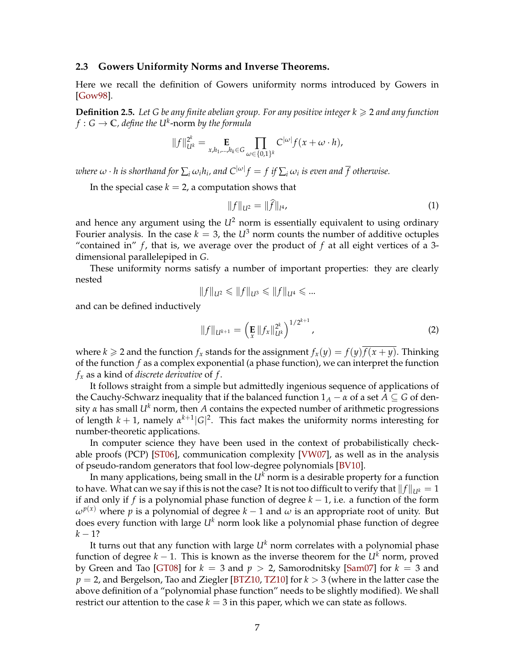#### <span id="page-7-1"></span>**2.3 Gowers Uniformity Norms and Inverse Theorems.**

Here we recall the definition of Gowers uniformity norms introduced by Gowers in [\[Gow98\]](#page-25-14).

**Definition 2.5.** Let G be any finite abelian group. For any positive integer  $k \geq 2$  and any function  $f:G\to\mathbb{C}$ , define the  $U^k\text{-norm}$  by the formula

$$
||f||_{U^k}^{2^k} = \mathop{\mathbf{E}}_{x,h_1,\dots,h_k \in G} \prod_{\omega \in \{0,1\}^k} C^{|\omega|} f(x + \omega \cdot h),
$$

 $\omega$  *k*  $\omega$   $\cdot$  *h* is shorthand for  $\sum_i \omega_i h_i$ , and  $C^{|\omega|} f = f$  if  $\sum_i \omega_i$  is even and  $\overline{f}$  otherwise.

In the special case  $k = 2$ , a computation shows that

$$
||f||_{U^2} = ||f||_{l^4},
$$
\n(1)

and hence any argument using the  $U^2$  norm is essentially equivalent to using ordinary Fourier analysis. In the case  $k = 3$ , the  $U^3$  norm counts the number of additive octuples "contained in"  $f$ , that is, we average over the product of  $f$  at all eight vertices of a 3dimensional parallelepiped in *G*.

These uniformity norms satisfy a number of important properties: they are clearly nested

$$
||f||_{U^2} \le ||f||_{U^3} \le ||f||_{U^4} \le ...
$$

and can be defined inductively

<span id="page-7-0"></span>
$$
||f||_{U^{k+1}} = \left(\mathbf{E}||f_x||_{U^k}^{2^k}\right)^{1/2^{k+1}},\tag{2}
$$

where  $k \ge 2$  and the function  $f_x$  stands for the assignment  $f_x(y) = f(y) \overline{f(x + y)}$ . Thinking of the function *f* as a complex exponential (a phase function), we can interpret the function *f<sup>x</sup>* as a kind of *discrete derivative* of *f* .

It follows straight from a simple but admittedly ingenious sequence of applications of the Cauchy-Schwarz inequality that if the balanced function  $1_A - \alpha$  of a set  $A \subseteq G$  of density  $\alpha$  has small  $U^k$  norm, then A contains the expected number of arithmetic progressions of length  $k + 1$ , namely  $\alpha^{k+1} |G|^2$ . This fact makes the uniformity norms interesting for number-theoretic applications.

In computer science they have been used in the context of probabilistically checkable proofs (PCP) [\[ST06\]](#page-26-12), communication complexity [\[VW07\]](#page-27-2), as well as in the analysis of pseudo-random generators that fool low-degree polynomials [\[BV10\]](#page-24-6).

In many applications, being small in the  $U^k$  norm is a desirable property for a function to have. What can we say if this is not the case? It is not too difficult to verify that  $||f||_{U^k} = 1$ if and only if *f* is a polynomial phase function of degree  $k - 1$ , i.e. a function of the form  $\omega^{p(x)}$  where *p* is a polynomial of degree *k* − 1 and  $\omega$  is an appropriate root of unity. But does every function with large *U<sup>k</sup>* norm look like a polynomial phase function of degree  $k - 1?$ 

It turns out that any function with large *U<sup>k</sup>* norm correlates with a polynomial phase function of degree  $k - 1$ . This is known as the inverse theorem for the  $U^k$  norm, proved by Green and Tao [\[GT08\]](#page-25-11) for *k* = 3 and *p* > 2, Samorodnitsky [\[Sam07\]](#page-26-9) for *k* = 3 and *p* = 2, and Bergelson, Tao and Ziegler [\[BTZ10,](#page-24-7) [TZ10\]](#page-26-13) for *k* > 3 (where in the latter case the above definition of a "polynomial phase function" needs to be slightly modified). We shall restrict our attention to the case  $k = 3$  in this paper, which we can state as follows.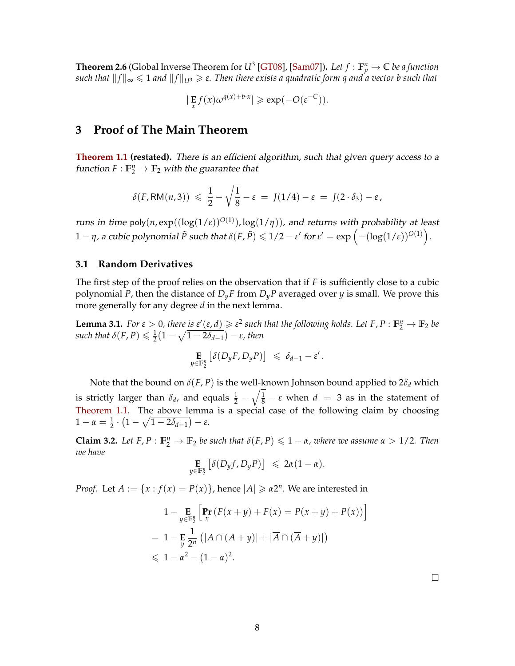<span id="page-8-2"></span> $\bf{Theorem~2.6}$  (Global Inverse Theorem for  $U^3$  [\[GT08\]](#page-25-11), [\[Sam07\]](#page-26-9)). Let  $f:\mathbb{F}_p^n\to\mathbb{C}$  be a function *such that*  $||f||_{\infty} \le 1$  *and*  $||f||_{U^3} \ge \varepsilon$ . Then there exists a quadratic form q and a vector b such that

$$
|\mathbf{E}_x f(x) \omega^{q(x)+b \cdot x}| \geqslant \exp(-O(\varepsilon^{-C})).
$$

## **3 Proof of The Main Theorem**

**[Theorem 1.1](#page-2-0) (restated).** There is an efficient algorithm, such that given query access to a function  $F: \mathbb{F}_2^n \to \mathbb{F}_2$  with the guarantee that

$$
\delta(F, \mathsf{RM}(n,3)) \leq \frac{1}{2} - \sqrt{\frac{1}{8}} - \varepsilon = J(1/4) - \varepsilon = J(2 \cdot \delta_3) - \varepsilon,
$$

runs in time poly $(n, \exp((\log(1/\varepsilon)^{O(1)}), \log(1/\eta)))$ , and returns with probability at least  $1-\eta$ , a cubic polynomial  $\tilde{P}$  such that  $\delta(F,\tilde{P})\leqslant 1/2-\varepsilon'$  for  $\varepsilon'=\exp\left(-(\log(1/\varepsilon))^{O(1)}\right)$ .

### **3.1 Random Derivatives**

The first step of the proof relies on the observation that if *F* is sufficiently close to a cubic polynomial *P*, then the distance of *DyF* from *DyP* averaged over *y* is small. We prove this more generally for any degree *d* in the next lemma.

<span id="page-8-1"></span>**Lemma 3.1.** *For*  $\varepsilon > 0$ , *there* is  $\varepsilon'(\varepsilon, d) \geq \varepsilon^2$  such that the following holds. Let F, P :  $\mathbb{F}_2^n \to \mathbb{F}_2$  be  $\mathcal{L}$  *such that*  $\delta(F, P) \leq \frac{1}{2}(1 - \sqrt{1 - 2\delta_{d-1}}) - \varepsilon$ , then

$$
\mathop{\mathbf{E}}_{y \in \mathbb{F}_2^n} \left[ \delta(D_y F, D_y P) \right] \leq \delta_{d-1} - \varepsilon'.
$$

Note that the bound on  $\delta(F, P)$  is the well-known Johnson bound applied to  $2\delta_d$  which is strictly larger than  $\delta_d$ , and equals  $\frac{1}{2}-\sqrt{\frac{1}{8}}-\epsilon$  when  $d~=~3$  as in the statement of [Theorem 1.1.](#page-2-0) The above lemma is a special case of the following claim by choosing  $1 - \alpha = \frac{1}{2} \cdot (1 - \sqrt{1 - 2\delta_{d-1}}) - ε.$ 

<span id="page-8-0"></span>**Claim 3.2.** Let  $F, P : \mathbb{F}_2^n \to \mathbb{F}_2$  be such that  $\delta(F, P) \leq 1 - \alpha$ , where we assume  $\alpha > 1/2$ . Then *we have*

$$
\mathop{\mathbf{E}}_{y \in \mathbb{F}_2^n} \left[ \delta(D_y f, D_y P) \right] \leq 2\alpha (1 - \alpha).
$$

*Proof.* Let  $A := \{x : f(x) = P(x)\}\$ , hence  $|A| \geq a2^n$ . We are interested in

$$
1 - \underset{y \in \mathbb{F}_2^n}{\mathbf{E}} \left[ \underset{x}{\mathbf{Pr}} \left( F(x+y) + F(x) = P(x+y) + P(x) \right) \right]
$$
  
= 
$$
1 - \underset{y}{\mathbf{E}} \frac{1}{2^n} \left( |A \cap (A+y)| + |\overline{A} \cap (\overline{A}+y)| \right)
$$
  
\$\leq 1 - \alpha^2 - (1 - \alpha)^2\$.

 $\Box$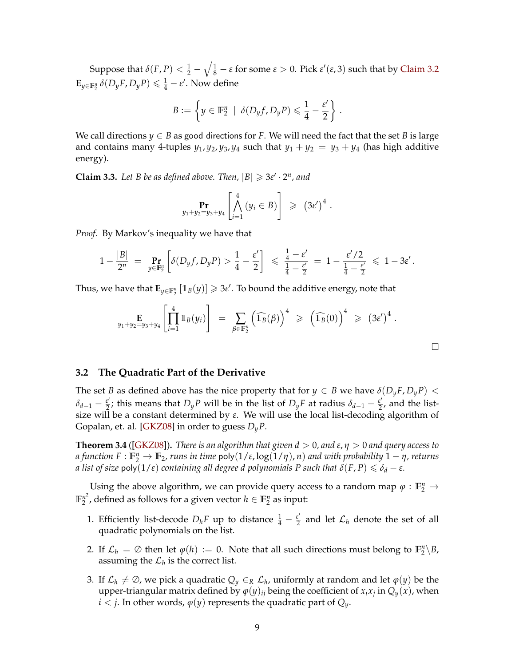<span id="page-9-2"></span>Suppose that  $\delta(F,P)<\frac{1}{2}-\sqrt{\frac{1}{8}}-\varepsilon$  for some  $\varepsilon>0.$  Pick  $\varepsilon'(\varepsilon,3)$  such that by [Claim 3.2](#page-8-0)  $\mathbf{E}_{y \in \mathbb{F}_2^n} \delta(D_y F, D_y P) \leq \frac{1}{4} - \varepsilon'$ . Now define

$$
B := \left\{ y \in \mathbb{F}_2^n \mid \delta(D_y f, D_y P) \leq \frac{1}{4} - \frac{\varepsilon'}{2} \right\}.
$$

We call directions  $y \in B$  as good directions for *F*. We will need the fact that the set *B* is large and contains many 4-tuples  $y_1$ ,  $y_2$ ,  $y_3$ ,  $y_4$  such that  $y_1 + y_2 = y_3 + y_4$  (has high additive energy).

<span id="page-9-1"></span>**Claim 3.3.** Let B be as defined above. Then,  $|B| \ge 3\varepsilon' \cdot 2^n$ , and

$$
\Pr_{y_1+y_2=y_3+y_4}\left[\bigwedge_{i=1}^4 (y_i \in B)\right] \geqslant (3\varepsilon')^4.
$$

*Proof.* By Markov's inequality we have that

$$
1 - \frac{|B|}{2^n} = \Pr_{y \in \mathbb{F}_2^n} \left[ \delta(D_y f, D_y P) > \frac{1}{4} - \frac{\varepsilon'}{2} \right] \leq \frac{\frac{1}{4} - \varepsilon'}{\frac{1}{4} - \frac{\varepsilon'}{2}} = 1 - \frac{\varepsilon'/2}{\frac{1}{4} - \frac{\varepsilon'}{2}} \leq 1 - 3\varepsilon'.
$$

Thus, we have that  $\mathbf{E}_{y \in \mathbb{F}_2^n}\left[\mathbb{1}_B(y)\right] \geqslant 3\varepsilon'.$  To bound the additive energy, note that

$$
\mathop{\mathbf{E}}_{y_1+y_2=y_3+y_4}\left[\prod_{i=1}^4 1\!\!1_B(y_i)\right] = \sum_{\beta \in \mathbb{F}_2^n} \left(\widehat{1_B}(\beta)\right)^4 \geqslant \left(\widehat{1_B}(0)\right)^4 \geqslant \left(3\varepsilon'\right)^4.
$$

#### **3.2 The Quadratic Part of the Derivative**

The set *B* as defined above has the nice property that for  $y \in B$  we have  $\delta(D_y F, D_y P)$  <  $\delta_{d-1} - \frac{\varepsilon^{\prime}}{2}$  $\frac{\varepsilon'}{2}$ ; this means that *D<sub>y</sub>P* will be in the list of *D<sub>y</sub>F* at radius  $\delta_{d-1} - \frac{\varepsilon'}{2}$  $\frac{\varepsilon}{2}$ , and the listsize will be a constant determined by *ε*. We will use the local list-decoding algorithm of Gopalan, et. al. [\[GKZ08\]](#page-25-3) in order to guess *DyP*.

<span id="page-9-0"></span>**Theorem 3.4** ([\[GKZ08\]](#page-25-3))**.** *There is an algorithm that given d* > 0*, and ε*, *η* > 0 *and query access to*  $a$  function  $F: \mathbb{F}_2^n \to \mathbb{F}_2$ , runs in time  $\mathsf{poly}(1/\varepsilon, \log(1/\eta), n)$  and with probability  $1-\eta$ , returns *a list of size*  $\mathsf{poly}(1/\varepsilon)$  *containing all degree d polynomials P such that*  $\delta(F, P) \leqslant \delta_d - \varepsilon$ *.* 

Using the above algorithm, we can provide query access to a random map  $\varphi : \mathbb{F}_2^n \to$  $\mathbb{F}_2^{n^2}$  $n^2$ , defined as follows for a given vector  $h \in \mathbb{F}_2^n$  as input:

- 1. Efficiently list-decode  $D_h F$  up to distance  $\frac{1}{4} \frac{\varepsilon^2}{2}$  $\frac{\varepsilon'}{2}$  and let  $\mathcal{L}_h$  denote the set of all quadratic polynomials on the list.
- 2. If  $\mathcal{L}_h = \emptyset$  then let  $\varphi(h) := \overline{0}$ . Note that all such directions must belong to  $\mathbb{F}_2^n \backslash B$ , assuming the  $\mathcal{L}_h$  is the correct list.
- 3. If  $\mathcal{L}_h \neq \emptyset$ , we pick a quadratic  $Q_y \in_R \mathcal{L}_h$ , uniformly at random and let  $\varphi(y)$  be the upper-triangular matrix defined by  $\varphi(y)_{ij}$  being the coefficient of  $x_i x_j$  in  $Q_y(x)$ , when  $i < j$ . In other words,  $\varphi(y)$  represents the quadratic part of  $Q_y$ .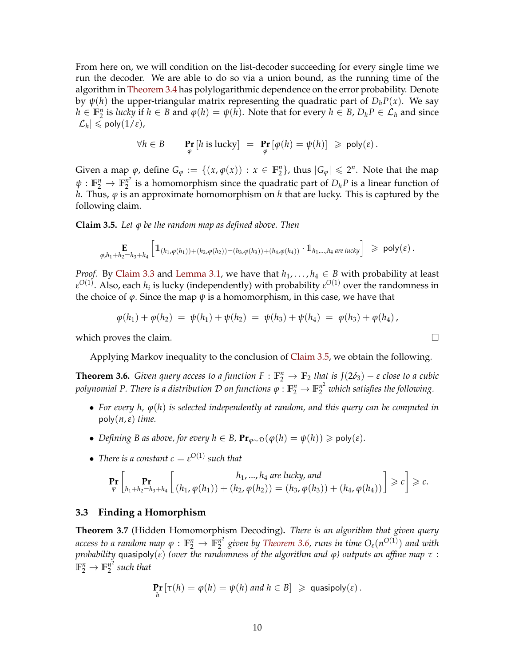From here on, we will condition on the list-decoder succeeding for every single time we run the decoder. We are able to do so via a union bound, as the running time of the algorithm in [Theorem 3.4](#page-9-0) has polylogarithmic dependence on the error probability. Denote by  $\psi(h)$  the upper-triangular matrix representing the quadratic part of  $D_h P(x)$ . We say  $h \in \mathbb{F}_2^n$  is *lucky* if  $h \in B$  and  $\varphi(h) = \psi(h)$ . Note that for every  $h \in B$ ,  $D_h P \in \mathcal{L}_h$  and since  $|\mathcal{L}_h| \leqslant \mathsf{poly}(1/\varepsilon),$ 

$$
\forall h \in B \qquad \Pr_{\varphi} \left[ h \text{ is lucky} \right] \ = \ \Pr_{\varphi} \left[ \varphi(h) = \psi(h) \right] \ \geqslant \ \text{poly}(\varepsilon) \, .
$$

Given a map  $\varphi$ , define  $G_{\varphi} := \{(x, \varphi(x)) : x \in \mathbb{F}_2^n\}$ , thus  $|G_{\varphi}| \leq 2^n$ . Note that the map  $\psi: \mathbb{F}_2^n \to \mathbb{F}_2^{n^2}$  $n^2$  is a homomorphism since the quadratic part of  $D_h P$  is a linear function of *h*. Thus, *ϕ* is an approximate homomorphism on *h* that are lucky. This is captured by the following claim.

<span id="page-10-0"></span>**Claim 3.5.** *Let ϕ be the random map as defined above. Then*

$$
\mathop{\mathbf{E}}_{\varphi, h_1 + h_2 = h_3 + h_4} \left[ \mathbb{1}_{(h_1, \varphi(h_1)) + (h_2, \varphi(h_2)) = (h_3, \varphi(h_3)) + (h_4, \varphi(h_4))} \cdot \mathbb{1}_{h_1, \dots, h_4 \text{ are lucky}} \right] \geq \text{poly}(\varepsilon) .
$$

*Proof.* By [Claim 3.3](#page-9-1) and [Lemma 3.1,](#page-8-1) we have that  $h_1, \ldots, h_4 \in B$  with probability at least  $\varepsilon^{O(1)}$ . Also, each  $h_i$  is lucky (independently) with probability  $\varepsilon^{O(1)}$  over the randomness in the choice of  $\varphi$ . Since the map  $\psi$  is a homomorphism, in this case, we have that

$$
\varphi(h_1) + \varphi(h_2) = \psi(h_1) + \psi(h_2) = \psi(h_3) + \psi(h_4) = \varphi(h_3) + \varphi(h_4),
$$

which proves the claim.  $\Box$ 

Applying Markov inequality to the conclusion of [Claim 3.5,](#page-10-0) we obtain the following.

<span id="page-10-1"></span>**Theorem 3.6.** *Given query access to a function*  $F : \mathbb{F}_2^n \to \mathbb{F}_2$  *that is*  $J(2\delta_3) - \varepsilon$  *close to a cubic polynomial P. There is a distribution*  $\cal D$  *on functions*  $\varphi:\mathbb{F}_2^n\to\mathbb{F}_2^{n^2}$  *which satisfies the following.* 

- *For every h, ϕ*(*h*) *is selected independently at random, and this query can be computed in* poly(*n*,*ε*) *time.*
- *Defining B as above, for every*  $h \in B$ *,*  $\Pr_{\varphi \sim \mathcal{D}}(\varphi(h) = \psi(h)) \geq \text{poly}(\varepsilon)$ *<i>.*
- *There is a constant*  $c = \varepsilon^{O(1)}$  *such that*

$$
\Pr_{\varphi} \left[ \Pr_{h_1 + h_2 = h_3 + h_4} \left[ \begin{array}{c} h_1, ..., h_4 \text{ are lucky, and} \\ (h_1, \varphi(h_1)) + (h_2, \varphi(h_2)) = (h_3, \varphi(h_3)) + (h_4, \varphi(h_4)) \end{array} \right] \geqslant c \right] \geqslant c.
$$

#### **3.3 Finding a Homorphism**

<span id="page-10-2"></span>**Theorem 3.7** (Hidden Homomorphism Decoding)**.** *There is an algorithm that given query access to a random map*  $\varphi : \mathbb{F}_2^n \to \mathbb{F}_2^{n^2}$ 2 *given by [Theorem 3.6,](#page-10-1) runs in time Oε*(*n O*(1) ) *and with probability* quasipoly(*ε*) *(over the randomness of the algorithm and ϕ) outputs an affine map τ* :  $\mathbb{F}_2^n \to \mathbb{F}_2^{n^2}$ 2 *such that*

$$
\Pr_{h} [\tau(h) = \varphi(h) = \psi(h) \text{ and } h \in B] \geq \text{quasipoly}(\varepsilon).
$$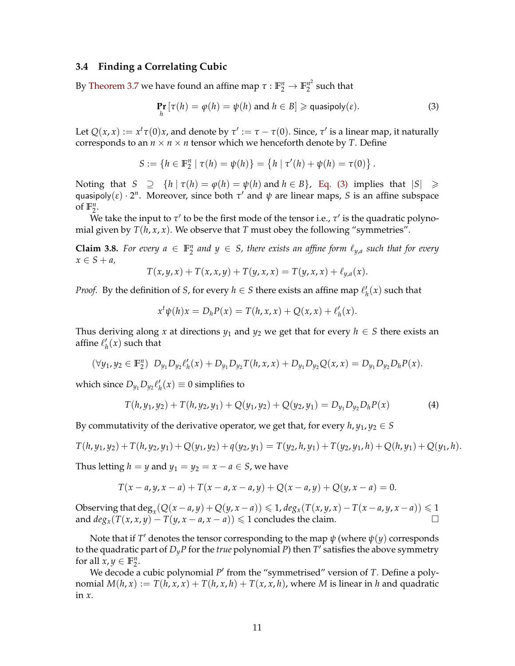### **3.4 Finding a Correlating Cubic**

By [Theorem 3.7](#page-10-2) we have found an affine map  $\tau : \mathbb{F}_2^n \to \mathbb{F}_2^{n^2}$  $n<sub>2</sub><sup>n<sub>2</sub></sup>$  such that

<span id="page-11-0"></span>
$$
\Pr_{h} [\tau(h) = \varphi(h) = \psi(h) \text{ and } h \in B] \geqslant \text{quasipoly}(\varepsilon).
$$
 (3)

Let  $Q(x, x) := x^t \tau(0)x$ , and denote by  $\tau' := \tau - \tau(0)$ . Since,  $\tau'$  is a linear map, it naturally corresponds to an  $n \times n \times n$  tensor which we henceforth denote by *T*. Define

$$
S := \{ h \in \mathbb{F}_2^n \mid \tau(h) = \psi(h) \} = \{ h \mid \tau'(h) + \psi(h) = \tau(0) \}.
$$

Noting that  $S \supseteq {h | \tau(h) = \varphi(h) = \psi(h) \text{ and } h \in B}$ , [Eq. \(3\)](#page-11-0) implies that  $|S| \ge$ quasipoly( $\varepsilon$ )  $\cdot$  2<sup>*n*</sup>. Moreover, since both  $\tau'$  and  $\psi$  are linear maps, *S* is an affine subspace of  $\mathbb{F}_2^n$ .

We take the input to  $\tau'$  to be the first mode of the tensor i.e.,  $\tau'$  is the quadratic polynomial given by  $T(h, x, x)$ . We observe that  $T$  must obey the following "symmetries".

<span id="page-11-1"></span>**Claim 3.8.** For every  $a \in \mathbb{F}_2^n$  and  $y \in S$ , there exists an affine form  $\ell_{y,a}$  such that for every  $x \in S + a$ 

$$
T(x, y, x) + T(x, x, y) + T(y, x, x) = T(y, x, x) + \ell_{y,a}(x).
$$

*Proof.* By the definition of *S*, for every  $h \in S$  there exists an affine map  $\ell'_h(x)$  such that

$$
x^{t}\psi(h)x = D_{h}P(x) = T(h, x, x) + Q(x, x) + \ell'_{h}(x).
$$

Thus deriving along *x* at directions  $y_1$  and  $y_2$  we get that for every  $h \in S$  there exists an affine  $\ell'_h(x)$  such that

$$
(\forall y_1, y_2 \in \mathbb{F}_2^n) D_{y_1}D_{y_2}\ell'_h(x) + D_{y_1}D_{y_2}T(h, x, x) + D_{y_1}D_{y_2}Q(x, x) = D_{y_1}D_{y_2}D_hP(x).
$$

which since  $D_{y_1}D_{y_2}\ell'_h(x) \equiv 0$  simplifies to

$$
T(h, y_1, y_2) + T(h, y_2, y_1) + Q(y_1, y_2) + Q(y_2, y_1) = D_{y_1} D_{y_2} D_h P(x)
$$
\n(4)

By commutativity of the derivative operator, we get that, for every  $h$ ,  $y_1$ ,  $y_2 \in S$ 

$$
T(h, y_1, y_2) + T(h, y_2, y_1) + Q(y_1, y_2) + q(y_2, y_1) = T(y_2, h, y_1) + T(y_2, y_1, h) + Q(h, y_1) + Q(y_1, h).
$$

Thus letting *h* = *y* and *y*<sub>1</sub> = *y*<sub>2</sub> = *x* − *a*  $\in$  *S*, we have

$$
T(x-a,y,x-a) + T(x-a,x-a,y) + Q(x-a,y) + Q(y,x-a) = 0.
$$

Observing that  $\deg_x(Q(x-a,y)+Q(y,x-a)) \leq 1$ ,  $deg_x(T(x,y,x)-T(x-a,y,x-a)) \leq 1$ and  $deg_x(T(x, x, y) - T(y, x - a, x - a)) \leq 1$  concludes the claim.

Note that if  $T'$  denotes the tensor corresponding to the map  $\psi$  (where  $\psi(y)$  corresponds to the quadratic part of  $D_y P$  for the *true* polynomial  $P$ ) then  $T'$  satisfies the above symmetry for all  $x, y \in \mathbb{F}_2^n$ .

<span id="page-11-2"></span>We decode a cubic polynomial P<sup>'</sup> from the "symmetrised" version of *T*. Define a polynomial  $M(h, x) := T(h, x, x) + T(h, x, h) + T(x, x, h)$ , where *M* is linear in *h* and quadratic in *x*.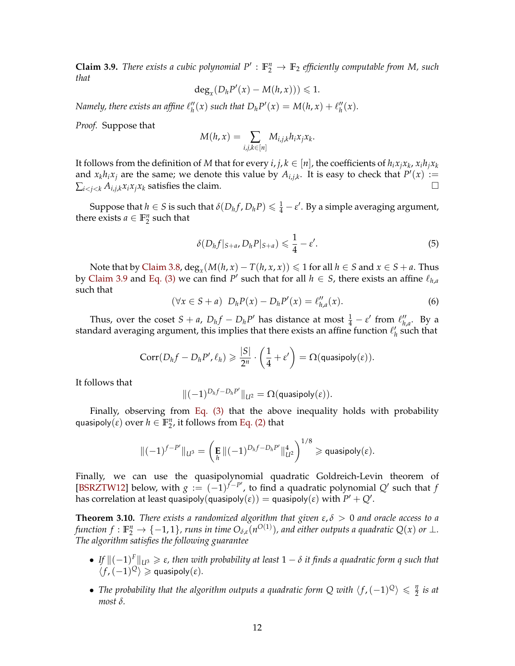<span id="page-12-0"></span>**Claim 3.9.** *There exists a cubic polynomial*  $P' : \mathbb{F}_2^n \to \mathbb{F}_2$  *efficiently computable from M, such that*

$$
\deg_x(D_h P'(x) - M(h, x))) \leq 1.
$$

*Namely, there exists an affine*  $\ell''_h(x)$  such that  $D_h P'(x) = M(h, x) + \ell''_h(x)$ .

*Proof.* Suppose that

$$
M(h, x) = \sum_{i,j,k \in [n]} M_{i,j,k} h_i x_j x_k.
$$

It follows from the definition of  $M$  that for every  $i, j, k \in [n]$ , the coefficients of  $h_i x_j x_k$ ,  $x_i h_j x_k$ and  $x_k h_i x_j$  are the same; we denote this value by  $A_{i,j,k}$ . It is easy to check that  $P'(x) :=$  $\sum_{i < j < k} A_{i,j,k} x_i x_j x_k$  satisfies the claim.

Suppose that  $h \in S$  is such that  $\delta(D_h f, D_h P) \leqslant \frac{1}{4} - \varepsilon'$ . By a simple averaging argument, there exists  $a \in \mathbb{F}_2^n$  such that

$$
\delta(D_h f|_{S+a}, D_h P|_{S+a}) \leq \frac{1}{4} - \varepsilon'.
$$
\n(5)

Note that by [Claim 3.8,](#page-11-1)  $deg_x(M(h,x) - T(h,x,x)) \leq 1$  for all  $h \in S$  and  $x \in S + a$ . Thus by [Claim 3.9](#page-11-2) and [Eq. \(3\)](#page-11-0) we can find *P*<sup> $\prime$ </sup> such that for all  $h \in S$ , there exists an affine  $\ell_{h,a}$ such that

$$
(\forall x \in S + a) \ D_h P(x) - D_h P'(x) = \ell_{h,a}''(x). \tag{6}
$$

Thus, over the coset  $S + a$ ,  $D_h f - D_h P'$  has distance at most  $\frac{1}{4} - \varepsilon'$  from  $\ell''_h$ *h*,*a* . By a standard averaging argument, this implies that there exists an affine function  $\ell'_h$  such that

$$
Corr(D_hf-D_hP',\ell_h)\geqslant \frac{|S|}{2^n}\cdot\left(\frac{1}{4}+\varepsilon'\right)=\Omega(\text{quasipoly}(\varepsilon)).
$$

It follows that

$$
\|(-1)^{D_hf-D_hP'}\|_{\mathcal{U}^2}=\Omega(\text{quasipoly}(\epsilon)).
$$

Finally, observing from [Eq. \(3\)](#page-11-0) that the above inequality holds with probability  $\mathsf{quasipoly}(\varepsilon)$  over  $h \in \mathbb{F}_2^n$ , it follows from [Eq. \(2\)](#page-7-0) that

$$
\|(-1)^{f-P'}\|_{U^3} = \left(\mathbf{E} \|(-1)^{D_h f - D_h P'}\|_{U^2}^4\right)^{1/8} \geqslant \mathsf{quasipoly}(\varepsilon).
$$

Finally, we can use the quasipolynomial quadratic Goldreich-Levin theorem of [\[BSRZTW12\]](#page-24-8) below, with  $g := (-1)^{f-P'}$ , to find a quadratic polynomial *Q'* such that *f* has correlation at least quasipoly $(\textsf{quasipoly}(\varepsilon)) = \textsf{quasipoly}(\varepsilon)$  with  $P' + Q'.$ 

**Theorem 3.10.** *There exists a randomized algorithm that given ε*, *δ* > 0 *and oracle access to a function*  $f: \mathbb{F}_2^n \to \{-1,1\}$ , runs in time  $O_{\delta,\varepsilon}(n^{O(1)})$ , and either outputs a quadratic  $Q(x)$  or  $\perp$ . *The algorithm satisfies the following guarantee*

- $\bullet$  *If*  $\|(-1)^{F}\|_{U^{3}} \geq \varepsilon$ , then with probability at least  $1 \delta$  it finds a quadratic form q such that  $\langle f, (-1)^{\mathcal{Q}} \rangle \geqslant$  quasipoly $(\varepsilon)$ *.*
- The probability that the algorithm outputs a quadratic form Q with  $\langle f, (-1)^{\mathbb{Q}} \rangle \leq \frac{\eta}{2}$  $rac{y}{2}$  is at *most δ.*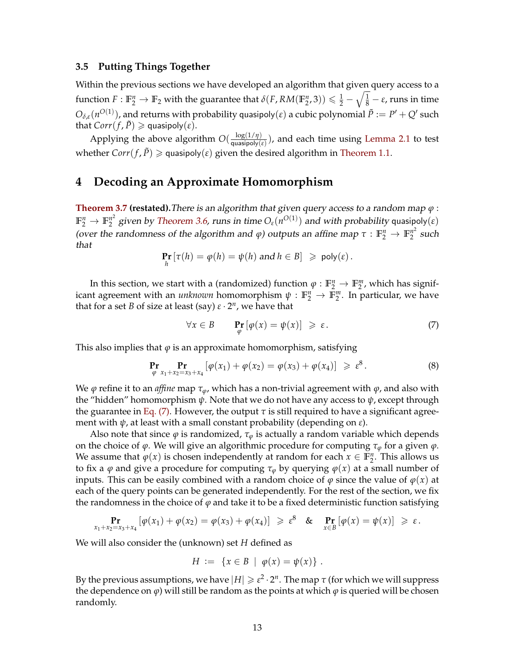#### **3.5 Putting Things Together**

Within the previous sections we have developed an algorithm that given query access to a  $f$ unction  $F:\mathbb{F}_2^n\to\mathbb{F}_2$  with the guarantee that  $\delta(F,RM(\mathbb{F}_2^n,3))\leqslant\frac{1}{2}-\sqrt{\frac{1}{8}}-\varepsilon$ , runs in time  $O_{\delta,\varepsilon}(n^{O(1)})$ , and returns with probability quasipoly $(\varepsilon)$  a cubic polynomial  $\tilde{P}:=P'+Q'$  such *that*  $Corr(f, \tilde{P}) \ge \text{quasipoly}(\varepsilon)$ *.* 

Applying the above algorithm  $O(\frac{\log(1/\eta)}{\text{quasipoly}})$  $\frac{\log(1/\eta)}{\text{quasipoly}(\varepsilon)}$ ), and each time using [Lemma 2.1](#page-6-0) to test whether  $Corr(f, \tilde{P}) \geq$  quasipoly( $\varepsilon$ ) given the desired algorithm in [Theorem 1.1.](#page-2-0)

# **4 Decoding an Approximate Homomorphism**

**[Theorem 3.7](#page-10-2) (restated).**There is an algorithm that given query access to a random map *ϕ* :  $\mathbb{F}_2^n \to \mathbb{F}_2^{n^2}$  $\frac{n^2}{2}$  given by [Theorem 3.6,](#page-10-1) runs in time  $O_{\varepsilon}(n^{O(1)})$  and with probability quasipoly(ε) (over the randomness of the algorithm and  $\varphi$ ) outputs an affine map  $\tau : \mathbb{F}_2^n \to \mathbb{F}_2^{n^2}$  $n^2$  such that

$$
\Pr_{h} [\tau(h) = \varphi(h) = \psi(h) \text{ and } h \in B] \geq \text{poly}(\varepsilon).
$$

In this section, we start with a (randomized) function  $\varphi : \mathbb{F}_2^n \to \mathbb{F}_2^m$ , which has significant agreement with an *unknown* homomorphism  $\psi : \mathbb{F}_2^n \to \mathbb{F}_2^m$ . In particular, we have that for a set *B* of size at least (say) *ε* · 2 *n* , we have that

<span id="page-13-0"></span>
$$
\forall x \in B \qquad \Pr_{\varphi} \left[ \varphi(x) = \psi(x) \right] \ge \varepsilon. \tag{7}
$$

This also implies that  $\varphi$  is an approximate homomorphism, satisfying

$$
\Pr_{\varphi} \Pr_{x_1 + x_2 = x_3 + x_4} [\varphi(x_1) + \varphi(x_2) = \varphi(x_3) + \varphi(x_4)] \geq \varepsilon^8.
$$
 (8)

We *ϕ* refine it to an *affine* map *τϕ*, which has a non-trivial agreement with *ϕ*, and also with the "hidden" homomorphism *ψ*. Note that we do not have any access to *ψ*, except through the guarantee in [Eq. \(7\).](#page-13-0) However, the output  $\tau$  is still required to have a significant agreement with *ψ*, at least with a small constant probability (depending on *ε*).

Also note that since  $\varphi$  is randomized,  $\tau_{\varphi}$  is actually a random variable which depends on the choice of *ϕ*. We will give an algorithmic procedure for computing *τ<sup>ϕ</sup>* for a given *ϕ*. We assume that  $\varphi(x)$  is chosen independently at random for each  $x \in \mathbb{F}_2^n$ . This allows us to fix a  $\varphi$  and give a procedure for computing  $\tau_{\varphi}$  by querying  $\varphi(x)$  at a small number of inputs. This can be easily combined with a random choice of  $\varphi$  since the value of  $\varphi(x)$  at each of the query points can be generated independently. For the rest of the section, we fix the randomness in the choice of  $\varphi$  and take it to be a fixed deterministic function satisfying

$$
\Pr_{x_1+x_2=x_3+x_4}\left[\varphi(x_1)+\varphi(x_2)=\varphi(x_3)+\varphi(x_4)\right] \geqslant \varepsilon^8 \quad \text{&} \quad \Pr_{x\in B}\left[\varphi(x)=\psi(x)\right] \geqslant \varepsilon.
$$

We will also consider the (unknown) set *H* defined as

$$
H := \{ x \in B \mid \varphi(x) = \psi(x) \} .
$$

By the previous assumptions, we have  $|H|\geqslant \varepsilon^2\cdot 2^n.$  The map  $\tau$  (for which we will suppress the dependence on  $\varphi$ ) will still be random as the points at which  $\varphi$  is queried will be chosen randomly.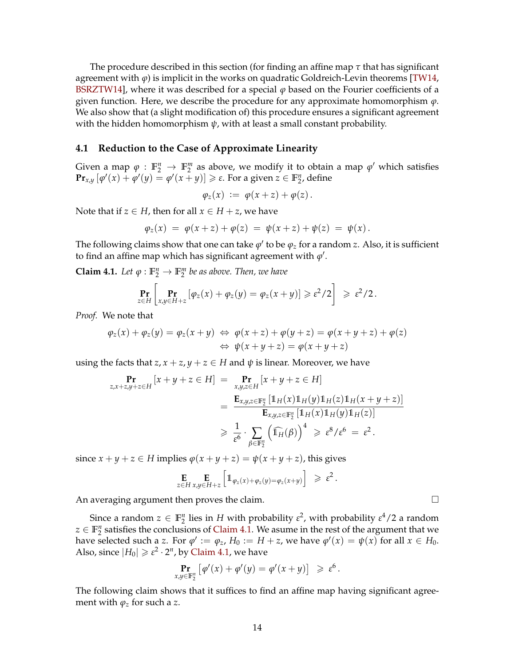<span id="page-14-1"></span>The procedure described in this section (for finding an affine map *τ* that has significant agreement with *ϕ*) is implicit in the works on quadratic Goldreich-Levin theorems [\[TW14,](#page-26-8) [BSRZTW14\]](#page-24-5), where it was described for a special *ϕ* based on the Fourier coefficients of a given function. Here, we describe the procedure for any approximate homomorphism  $\varphi$ . We also show that (a slight modification of) this procedure ensures a significant agreement with the hidden homomorphism  $\psi$ , with at least a small constant probability.

#### **4.1 Reduction to the Case of Approximate Linearity**

Given a map  $\varphi : \mathbb{F}_2^n \to \mathbb{F}_2^m$  as above, we modify it to obtain a map  $\varphi'$  which satisfies **Pr**<sub>*x*</sub>,*y*  $[\phi'(x) + \phi'(y) = \phi'(x + y)] \ge \varepsilon$ . For a given  $z \in \mathbb{F}_2^n$ , define

$$
\varphi_z(x) := \varphi(x+z) + \varphi(z).
$$

Note that if  $z \in H$ , then for all  $x \in H + z$ , we have

$$
\varphi_z(x) = \varphi(x+z) + \varphi(z) = \psi(x+z) + \psi(z) = \psi(x).
$$

The following claims show that one can take  $\varphi'$  to be  $\varphi_z$  for a random *z*. Also, it is sufficient to find an affine map which has significant agreement with  $\varphi'.$ 

<span id="page-14-0"></span>**Claim 4.1.** *Let*  $\varphi : \mathbb{F}_2^n \to \mathbb{F}_2^m$  *be as above. Then, we have* 

$$
\Pr_{z\in H}\left[\Pr_{x,y\in H+z}\left[\varphi_z(x)+\varphi_z(y)=\varphi_z(x+y)\right]\geqslant \varepsilon^2/2\right]\geqslant \varepsilon^2/2.
$$

*Proof.* We note that

$$
\varphi_z(x) + \varphi_z(y) = \varphi_z(x + y) \Leftrightarrow \varphi(x + z) + \varphi(y + z) = \varphi(x + y + z) + \varphi(z)
$$
  

$$
\Leftrightarrow \psi(x + y + z) = \varphi(x + y + z)
$$

using the facts that  $z, x + z, y + z \in H$  and  $\psi$  is linear. Moreover, we have

$$
\Pr_{z,x+z,y+z\in H}[x+y+z\in H] = \Pr_{x,y,z\in\mathbb{F}_2^n}[x+y+z\in H]
$$
  
\n
$$
= \frac{\mathbf{E}_{x,y,z\in\mathbb{F}_2^n}[1_H(x)1_H(y)1_H(z)1_H(x+y+z)]}{\mathbf{E}_{x,y,z\in\mathbb{F}_2^n}[1_H(x)1_H(y)1_H(z)]}
$$
  
\n
$$
\geq \frac{1}{\varepsilon^6} \cdot \sum_{\beta\in\mathbb{F}_2^n} (\widehat{\mathbb{1}_H}(\beta))^4 \geq \varepsilon^8/\varepsilon^6 = \varepsilon^2.
$$

since  $x + y + z \in H$  implies  $\varphi(x + y + z) = \psi(x + y + z)$ , this gives

$$
\mathop{\mathbf{E}}_{z \in H} \mathop{\mathbf{E}}_{x,y \in H+z} \left[ \mathbb{1}_{\varphi_z(x) + \varphi_z(y) = \varphi_z(x+y)} \right] \geq \varepsilon^2.
$$

An averaging argument then proves the claim.  $\Box$ 

Since a random  $z \in \mathbb{F}_2^n$  lies in *H* with probability  $\varepsilon^2$ , with probability  $\varepsilon^4/2$  a random  $z \in \mathbb{F}_2^n$  satisfies the conclusions of [Claim 4.1.](#page-14-0) We asume in the rest of the argument that we have selected such a *z*. For  $\varphi' := \varphi_z$ ,  $H_0 := H + z$ , we have  $\varphi'(x) = \psi(x)$  for all  $x \in H_0$ . Also, since  $|H_0| \geqslant \varepsilon^2 \cdot 2^n$ , by [Claim 4.1,](#page-14-0) we have

$$
\Pr_{x,y\in\mathbb{F}_2^n}\left[\varphi'(x)+\varphi'(y)=\varphi'(x+y)\right] \geq \varepsilon^6.
$$

The following claim shows that it suffices to find an affine map having significant agreement with  $\varphi_z$  for such a *z*.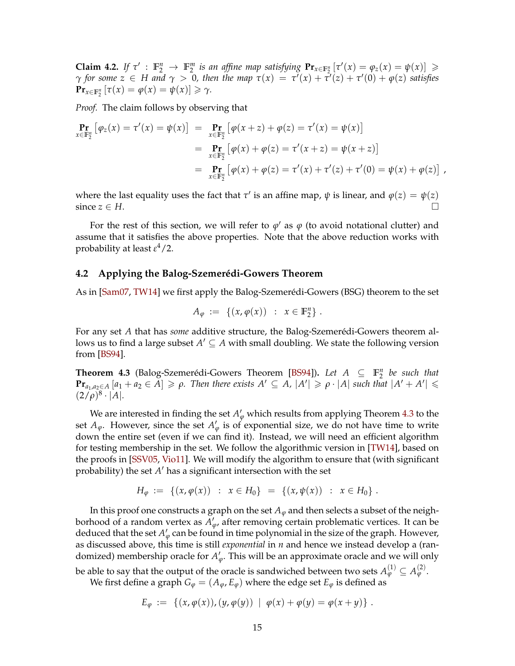<span id="page-15-2"></span>**Claim 4.2.** If  $\tau' : \mathbb{F}_2^n \to \mathbb{F}_2^m$  is an affine map satisfying  $\Pr_{x \in \mathbb{F}_2^n} [\tau'(x) = \varphi_z(x) = \psi(x)] \ge$ *γ for some*  $z \in H$  *and*  $\gamma > 0$ , then the map  $\tau(x) = \tau'(x) + \tau'(z) + \tau'(0) + \varphi(z)$  satisfies **Pr**<sub> $x \in \mathbb{F}_2^n$   $[\tau(x) = \varphi(x) = \psi(x)] \ge \gamma$ .</sub>

*Proof.* The claim follows by observing that

$$
\begin{aligned}\n\mathbf{Pr}_{x \in \mathbb{F}_2^n} \left[ \varphi_z(x) = \tau'(x) = \psi(x) \right] &= \mathbf{Pr}_{x \in \mathbb{F}_2^n} \left[ \varphi(x+z) + \varphi(z) = \tau'(x) = \psi(x) \right] \\
&= \mathbf{Pr}_{x \in \mathbb{F}_2^n} \left[ \varphi(x) + \varphi(z) = \tau'(x+z) = \psi(x+z) \right] \\
&= \mathbf{Pr}_{x \in \mathbb{F}_2^n} \left[ \varphi(x) + \varphi(z) = \tau'(x) + \tau'(z) + \tau'(0) = \psi(x) + \varphi(z) \right],\n\end{aligned}
$$

where the last equality uses the fact that  $\tau'$  is an affine map,  $\psi$  is linear, and  $\varphi(z) = \psi(z)$ since  $z \in H$ .

For the rest of this section, we will refer to  $\varphi'$  as  $\varphi$  (to avoid notational clutter) and assume that it satisfies the above properties. Note that the above reduction works with probability at least *ε* <sup>4</sup>/2.

#### <span id="page-15-1"></span>**4.2 Applying the Balog-Szemerédi-Gowers Theorem**

As in [\[Sam07,](#page-26-9) [TW14\]](#page-26-8) we first apply the Balog-Szemerédi-Gowers (BSG) theorem to the set

$$
A_{\varphi} := \{ (x, \varphi(x)) : x \in \mathbb{F}_2^n \} .
$$

For any set *A* that has *some* additive structure, the Balog-Szemerédi-Gowers theorem allows us to find a large subset  $A' \subseteq A$  with small doubling. We state the following version from [\[BS94\]](#page-24-9).

<span id="page-15-0"></span>**Theorem 4.3** (Balog-Szemerédi-Gowers Theorem [\[BS94\]](#page-24-9)). Let  $A \subseteq \mathbb{F}_2^n$  be such that  $\Pr_{a_1,a_2\in A}[a_1+a_2\in A] \geqslant \rho$ . Then there exists  $A' \subseteq A$ ,  $|A'| \geqslant \rho \cdot |A|$  such that  $|A'+A'| \leqslant$  $(2/\rho)^8 \cdot |A|$ .

We are interested in finding the set  $A'_\varphi$  which results from applying Theorem [4.3](#page-15-0) to the set  $A_{\varphi}$ . However, since the set  $A_{\varphi}'$  is of exponential size, we do not have time to write down the entire set (even if we can find it). Instead, we will need an efficient algorithm for testing membership in the set. We follow the algorithmic version in [\[TW14\]](#page-26-8), based on the proofs in [\[SSV05,](#page-26-14) [Vio11\]](#page-27-3). We will modify the algorithm to ensure that (with significant probability) the set *A'* has a significant intersection with the set

$$
H_{\varphi} := \{ (x, \varphi(x)) : x \in H_0 \} = \{ (x, \psi(x)) : x \in H_0 \}.
$$

In this proof one constructs a graph on the set  $A_{\varphi}$  and then selects a subset of the neighborhood of a random vertex as  $A'_{\varphi}$ , after removing certain problematic vertices. It can be deduced that the set  $A'_\varphi$  can be found in time polynomial in the size of the graph. However, as discussed above, this time is still *exponential* in *n* and hence we instead develop a (randomized) membership oracle for  $A'_{\varphi}$ . This will be an approximate oracle and we will only

be able to say that the output of the oracle is sandwiched between two sets  $A^{(1)}_\varphi \subseteq A^{(2)}_\varphi.$ We first define a graph  $G_{\varphi} = (A_{\varphi}, E_{\varphi})$  where the edge set  $E_{\varphi}$  is defined as

$$
E_{\varphi} := \left\{ (x, \varphi(x)), (y, \varphi(y)) \mid \varphi(x) + \varphi(y) = \varphi(x + y) \right\}.
$$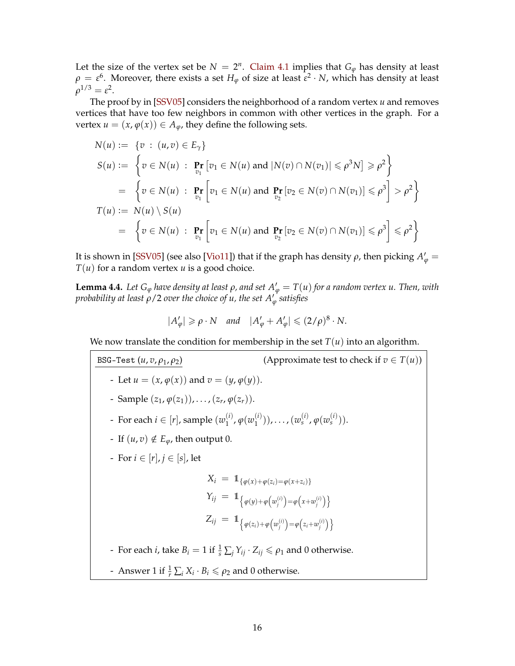<span id="page-16-0"></span>Let the size of the vertex set be  $N = 2<sup>n</sup>$ . [Claim 4.1](#page-14-0) implies that  $G_{\varphi}$  has density at least  $\rho\,=\,\varepsilon^6.$  Moreover, there exists a set  $H_\varphi$  of size at least  $\varepsilon^2\cdot N$ , which has density at least  $ρ<sup>1/3</sup> = ε<sup>2</sup>$ .

The proof by in [\[SSV05\]](#page-26-14) considers the neighborhood of a random vertex *u* and removes vertices that have too few neighbors in common with other vertices in the graph. For a vertex  $u = (x, \varphi(x)) \in A_{\varphi}$ , they define the following sets.

$$
N(u) := \{v : (u, v) \in E_{\gamma}\}\
$$
  
\n
$$
S(u) := \{v \in N(u) : \Pr_{v_1} [v_1 \in N(u) \text{ and } |N(v) \cap N(v_1)| \leq \rho^3 N] \geq \rho^2\}
$$
  
\n
$$
= \{v \in N(u) : \Pr_{v_1} [v_1 \in N(u) \text{ and } \Pr_{v_2} [v_2 \in N(v) \cap N(v_1)] \leq \rho^3\} > \rho^2\}
$$
  
\n
$$
T(u) := N(u) \setminus S(u)
$$
  
\n
$$
= \{v \in N(u) : \Pr_{v_1} [v_1 \in N(u) \text{ and } \Pr_{v_2} [v_2 \in N(v) \cap N(v_1)] \leq \rho^3\} \leq \rho^2\}
$$

It is shown in [\[SSV05\]](#page-26-14) (see also [\[Vio11\]](#page-27-3)) that if the graph has density  $\rho$ , then picking  $A'_\varphi = \frac{1}{\sqrt{2\pi}}$ *T*(*u*) for a random vertex *u* is a good choice.

**Lemma 4.4.** Let  $G_{\varphi}$  *have density at least*  $\rho$ *, and set*  $A_{\varphi}' = T(u)$  *for a random vertex u. Then, with probability at least ρ*/2 *over the choice of u, the set A*<sup>0</sup> *ϕ satisfies*

$$
|A'_{\varphi}| \geqslant \rho \cdot N \quad \text{and} \quad |A'_{\varphi} + A'_{\varphi}| \leqslant (2/\rho)^8 \cdot N.
$$

We now translate the condition for membership in the set  $T(u)$  into an algorithm.

BSG-Test  $(u, v, \rho_1, \rho_2)$  (Approximate test to check if  $v \in T(u)$ ) - Let  $u = (x, \varphi(x))$  and  $v = (y, \varphi(y))$ . - Sample  $(z_1, \varphi(z_1)), \ldots, (z_r, \varphi(z_r)).$ - For each  $i \in [r]$ , sample  $(w_1^{(i)})$  $j^{(i)}_{1}$ ,  $\varphi(w_{1}^{(i)})$  $(v_1^{(i)}), \ldots, (w_s^{(i)}, \varphi(w_s^{(i)})).$ - If  $(u, v) \notin E_{\varphi}$ , then output 0. - For *i* ∈ [*r*], *j* ∈ [*s*], let  $X_i = 1\!\!1_{\{\varphi(x) + \varphi(z_i) = \varphi(x+z_i)\}}$  $Y_{ij} = 1 \ \big\{ \varphi(y) + \varphi(w_j^{(i)}) = \varphi(x + w_j^{(i)}) \big\}$  $Z_{ij} = 1 \ \left\{ \varphi(z_i) + \varphi(w_j^{(i)}) = \varphi(z_i + w_j^{(i)}) \right\}$ - For each *i*, take  $B_i = 1$  if  $\frac{1}{s} \sum_j Y_{ij} \cdot Z_{ij} \le \rho_1$  and 0 otherwise. - Answer 1 if  $\frac{1}{r} \sum_i X_i \cdot B_i \le \rho_2$  and 0 otherwise.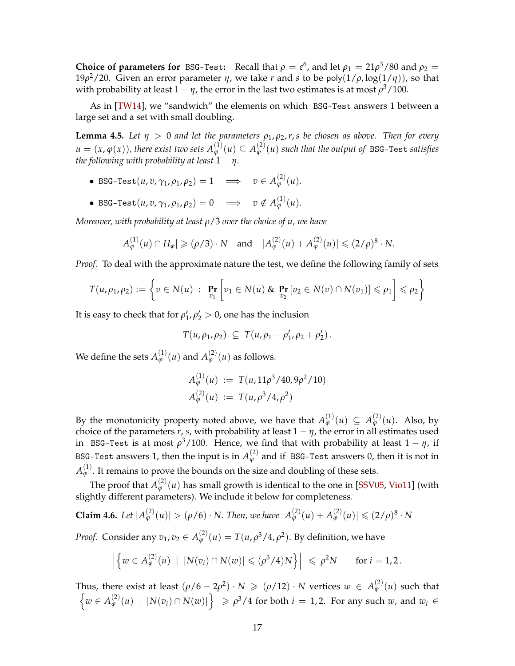<span id="page-17-1"></span>**Choice of parameters for** BSG-Test: Recall that  $\rho = \varepsilon^6$ , and let  $\rho_1 = 21\rho^3/80$  and  $\rho_2 =$ 19*ρ* <sup>2</sup>/20. Given an error parameter *η*, we take *r* and *s* to be poly(1/*ρ*, log(1/*η*)), so that with probability at least  $1 - \eta$ , the error in the last two estimates is at most  $\rho^3/100$ .

As in [\[TW14\]](#page-26-8), we "sandwich" the elements on which BSG-Test answers 1 between a large set and a set with small doubling.

<span id="page-17-0"></span>**Lemma 4.5.** Let  $\eta > 0$  and let the parameters  $\rho_1, \rho_2, r, s$  be chosen as above. Then for every  $u=(x,\varphi(x))$  , there exist two sets  $A_\varphi^{(1)}(u)\subseteq A_\varphi^{(2)}(u)$  such that the output of BSG-Test *satisfies the following with probability at least*  $1 - \eta$ *.* 

- BSG-Test $(u, v, \gamma_1, \rho_1, \rho_2) = 1 \quad \Longrightarrow \quad v \in A_{\varphi}^{(2)}(u).$
- BSG-Test $(u, v, \gamma_1, \rho_1, \rho_2) = 0 \implies v \notin A_{\varphi}^{(1)}(u)$ .

*Moreover, with probability at least ρ*/3 *over the choice of u, we have*

$$
|A_{\varphi}^{(1)}(u) \cap H_{\varphi}| \geqslant (\rho/3) \cdot N
$$
 and  $|A_{\varphi}^{(2)}(u) + A_{\varphi}^{(2)}(u)| \leqslant (2/\rho)^8 \cdot N$ .

*Proof.* To deal with the approximate nature the test, we define the following family of sets

$$
T(u,\rho_1,\rho_2):=\left\{v\in N(u) \ : \ \Pr_{v_1}\left[v_1\in N(u)\ \& \ \Pr_{v_2}\left[v_2\in N(v)\cap N(v_1)\right]\leqslant \rho_1\right]\leqslant \rho_2\right\}
$$

It is easy to check that for  $\rho'_1$ ,  $\rho'_2 > 0$ , one has the inclusion

$$
T(u,\rho_1,\rho_2) \subseteq T(u,\rho_1-\rho'_1,\rho_2+\rho'_2).
$$

We define the sets  $A_{\varphi}^{(1)}(u)$  and  $A_{\varphi}^{(2)}(u)$  as follows.

$$
A_{\varphi}^{(1)}(u) := T(u, 11\rho^3/40, 9\rho^2/10)
$$
  

$$
A_{\varphi}^{(2)}(u) := T(u, \rho^3/4, \rho^2)
$$

By the monotonicity property noted above, we have that  $A_{\varphi}^{(1)}(u) \subseteq A_{\varphi}^{(2)}(u)$ . Also, by choice of the parameters  $r$ ,  $s$ , with probability at least  $1 - \eta$ , the error in all estimates used in BSG-Test is at most  $\rho^3/100$ . Hence, we find that with probability at least  $1-\eta$ , if BSG-Test answers 1, then the input is in  $A_{\varphi}^{(2)}$  and if  $\,$  BSG-Test answers 0, then it is not in  $A^{(1)}_\varphi$  . It remains to prove the bounds on the size and doubling of these sets.

The proof that  $A_{\varphi}^{(2)}(u)$  has small growth is identical to the one in [\[SSV05,](#page-26-14) [Vio11\]](#page-27-3) (with slightly different parameters). We include it below for completeness.

**Claim 4.6.** Let  $|A_{\varphi}^{(2)}(u)| > (\rho/6) \cdot N$ . Then, we have  $|A_{\varphi}^{(2)}(u) + A_{\varphi}^{(2)}(u)| \leqslant (2/\rho)^8 \cdot N$ 

*Proof.* Consider any  $v_1, v_2 \in A_{\varphi}^{(2)}(u) = T(u, \rho^3/4, \rho^2)$ . By definition, we have

$$
\left|\left\{w\in A_{\varphi}^{(2)}(u) \;|\; |N(v_i)\cap N(w)|\leqslant (\rho^3/4)N\right\}\right| \leqslant \rho^2N \qquad \text{for } i=1,2.
$$

Thus, there exist at least  $(\rho/6 - 2\rho^2) \cdot N \geqslant (\rho/12) \cdot N$  vertices  $w \in A_{\varphi}^{(2)}(u)$  such that  $\begin{array}{c} \begin{array}{c} \begin{array}{c} \end{array} \\ \begin{array}{c} \end{array} \end{array} \end{array}$  $\left\{w \in A_{\varphi}^{(2)}(u) \mid |N(v_i) \cap N(w)|\right\}\right| \geqslant \rho^3/4$  for both  $i = 1, 2$ . For any such  $w$ , and  $w_i \in$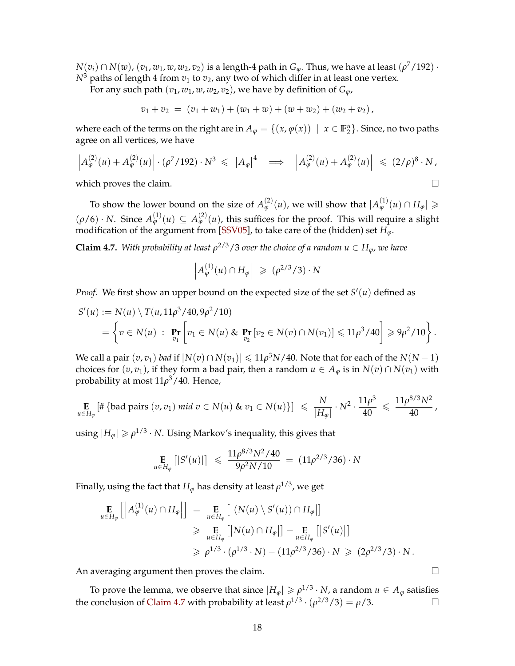<span id="page-18-1"></span> $N(v_i)\cap N(w)$ ,  $(v_1,w_1,w,w_2,v_2)$  is a length-4 path in  $G_\varphi.$  Thus, we have at least  $(\rho^7/192)\cdot$  $N^3$  paths of length 4 from  $v_1$  to  $v_2$ , any two of which differ in at least one vertex.

For any such path  $(v_1, w_1, w, w_2, v_2)$ , we have by definition of  $G_\varphi$ ,

$$
v_1 + v_2 = (v_1 + w_1) + (w_1 + w) + (w + w_2) + (w_2 + v_2),
$$

where each of the terms on the right are in  $A_{\varphi} = \{(x, \varphi(x)) \mid x \in \mathbb{F}_2^n\}$ . Since, no two paths agree on all vertices, we have

$$
\left| A_{\varphi}^{(2)}(u) + A_{\varphi}^{(2)}(u) \right| \cdot (\rho^7 / 192) \cdot N^3 \leqslant \left| A_{\varphi} \right|^4 \implies \left| A_{\varphi}^{(2)}(u) + A_{\varphi}^{(2)}(u) \right| \leqslant (2/\rho)^8 \cdot N,
$$

which proves the claim.  $\square$ 

To show the lower bound on the size of  $A_{\varphi}^{(2)}(u)$ , we will show that  $|A_{\varphi}^{(1)}(u) \cap H_{\varphi}| \geqslant$  $(\rho/6) \cdot N$ . Since  $A_{\varphi}^{(1)}(u) \subseteq A_{\varphi}^{(2)}(u)$ , this suffices for the proof. This will require a slight modification of the argument from [\[SSV05\]](#page-26-14), to take care of the (hidden) set *Hϕ*.

<span id="page-18-0"></span>**Claim 4.7.** With probability at least  $\rho^{2/3}/3$  over the choice of a random  $u \in H_{\varphi}$ , we have

$$
\left| A_{\varphi}^{(1)}(u) \cap H_{\varphi} \right| \geqslant (\rho^{2/3}/3) \cdot N
$$

*Proof.* We first show an upper bound on the expected size of the set  $S'(u)$  defined as

$$
S'(u) := N(u) \setminus T(u, 11\rho^3/40, 9\rho^2/10)
$$
  
=  $\left\{ v \in N(u) : \Pr_{v_1} \left[ v_1 \in N(u) \& \Pr_{v_2} [v_2 \in N(v) \cap N(v_1)] \le 11\rho^3/40 \right] \ge 9\rho^2/10 \right\}.$ 

We call a pair  $(v, v_1)$  *bad* if  $|N(v) \cap N(v_1)| \leq 11\rho^3 N/40$ . Note that for each of the  $N(N-1)$ choices for  $(v, v_1)$ , if they form a bad pair, then a random  $u \in A_\varphi$  is in  $N(v) \cap N(v_1)$  with probability at most 11*ρ* <sup>3</sup>/40. Hence,

$$
\mathop{\mathbf{E}}_{u \in H_{\varphi}} \left[ \# \left\{ \text{bad pairs} \left( v, v_1 \right) \text{mid } v \in N(u) \text{ \& } v_1 \in N(u) \right\} \right] \leq \frac{N}{|H_{\varphi}|} \cdot N^2 \cdot \frac{11 \rho^3}{40} \leq \frac{11 \rho^{8/3} N^2}{40},
$$

using  $|H_{\varphi}| \geqslant \rho^{1/3} \cdot N$ . Using Markov's inequality, this gives that

$$
\mathop{\mathbf{E}}_{u \in H_{\varphi}} \left[ |S'(u)| \right] \leq \frac{11 \rho^{8/3} N^2 / 40}{9 \rho^2 N / 10} = (11 \rho^{2/3} / 36) \cdot N
$$

Finally, using the fact that  $H_{\phi}$  has density at least  $\rho^{1/3}$ , we get

$$
\mathbf{E}_{u \in H_{\varphi}}\left[\left|A_{\varphi}^{(1)}(u) \cap H_{\varphi}\right|\right] = \mathbf{E}_{u \in H_{\varphi}}\left[\left|\left(N(u) \setminus S'(u)\right) \cap H_{\varphi}\right|\right] \n\geq \mathbf{E}_{u \in H_{\varphi}}\left[\left|N(u) \cap H_{\varphi}\right|\right] - \mathbf{E}_{u \in H_{\varphi}}\left[\left|S'(u)\right|\right] \n\geq \rho^{1/3} \cdot (\rho^{1/3} \cdot N) - (11\rho^{2/3}/36) \cdot N \geq (2\rho^{2/3}/3) \cdot N.
$$

An averaging argument then proves the claim.

To prove the lemma, we observe that since  $|H_{\varphi}| \geqslant \rho^{1/3} \cdot N$ , a random  $u \in A_{\varphi}$  satisfies the conclusion of [Claim 4.7](#page-18-0) with probability at least  $\rho^{1/3} \cdot (\rho^{2/3}/3) = \rho/3$ .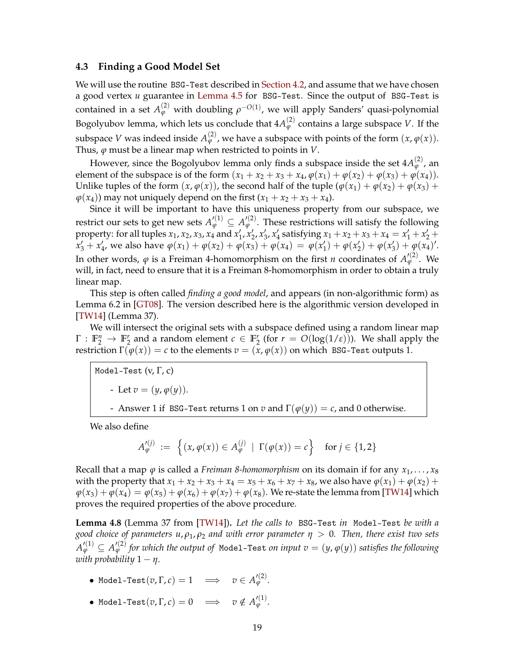#### <span id="page-19-1"></span>**4.3 Finding a Good Model Set**

We will use the routine BSG-Test described in [Section 4.2,](#page-15-1) and assume that we have chosen a good vertex *u* guarantee in [Lemma 4.5](#page-17-0) for BSG-Test. Since the output of BSG-Test is contained in a set  $A_{\varphi}^{(2)}$  with doubling  $\rho^{-O(1)}$ , we will apply Sanders' quasi-polynomial Bogolyubov lemma, which lets us conclude that  $4A_{\varphi}^{(2)}$  contains a large subspace V. If the subspace *V* was indeed inside  $A_{\varphi}^{(2)}$ , we have a subspace with points of the form  $(x, \varphi(x))$ . Thus, *ϕ* must be a linear map when restricted to points in *V*.

However, since the Bogolyubov lemma only finds a subspace inside the set  $4A_{\varphi}^{(2)}$ , an element of the subspace is of the form  $(x_1 + x_2 + x_3 + x_4, \varphi(x_1) + \varphi(x_2) + \varphi(x_3) + \varphi(x_4)$ . Unlike tuples of the form  $(x, \varphi(x))$ , the second half of the tuple  $(\varphi(x_1) + \varphi(x_2) + \varphi(x_3) + \varphi(x_4))$  $\varphi(x_4)$  may not uniquely depend on the first  $(x_1 + x_2 + x_3 + x_4)$ .

Since it will be important to have this uniqueness property from our subspace, we restrict our sets to get new sets  $A'^{(1)}_{\varphi} \subseteq A'^{(2)}_{\varphi}.$  These restrictions will satisfy the following property: for all tuples  $x_1, x_2, x_3, x_4$  and  $x'_1, x'_2, x'_3, x'_4$  satisfying  $x_1 + x_2 + x_3 + x_4 = x'_1 + x'_2 + x'_3$  $x'_3 + x'_4$ , we also have  $\varphi(x_1) + \varphi(x_2) + \varphi(x_3) + \varphi(x_4) = \varphi(x'_1) + \varphi(x'_2) + \varphi(x'_3) + \varphi(x_4)$ . In other words,  $\varphi$  is a Freiman 4-homomorphism on the first *n* coordinates of  $A'^{(2)}_{\varphi}$ . We will, in fact, need to ensure that it is a Freiman 8-homomorphism in order to obtain a truly linear map.

This step is often called *finding a good model*, and appears (in non-algorithmic form) as Lemma 6.2 in [\[GT08\]](#page-25-11). The version described here is the algorithmic version developed in [\[TW14\]](#page-26-8) (Lemma 37).

We will intersect the original sets with a subspace defined using a random linear map  $\Gamma: \mathbb{F}_2^n \to \mathbb{F}_2^r$  and a random element  $c \in \mathbb{F}_2^r$  (for  $r = O(\log(1/\epsilon))$ ). We shall apply the restriction  $\Gamma(\varphi(x)) = c$  to the elements  $v = (x, \varphi(x))$  on which BSG-Test outputs 1.

Model-Test  $(v, \Gamma, c)$ - Let  $v = (y, \varphi(y)).$ - Answer 1 if BSG-Test returns 1 on *v* and  $\Gamma(\varphi(y)) = c$ , and 0 otherwise.

We also define

$$
A_{\varphi}^{\prime(j)} := \left\{ (x, \varphi(x)) \in A_{\varphi}^{(j)} \mid \Gamma(\varphi(x)) = c \right\} \text{ for } j \in \{1, 2\}
$$

Recall that a map  $\varphi$  is called a *Freiman 8-homomorphism* on its domain if for any  $x_1, \ldots, x_8$ with the property that  $x_1 + x_2 + x_3 + x_4 = x_5 + x_6 + x_7 + x_8$ , we also have  $\varphi(x_1) + \varphi(x_2) + \varphi(x_3)$  $\varphi(x_3) + \varphi(x_4) = \varphi(x_5) + \varphi(x_6) + \varphi(x_7) + \varphi(x_8)$ . We re-state the lemma from [\[TW14\]](#page-26-8) which proves the required properties of the above procedure.

<span id="page-19-0"></span>**Lemma 4.8** (Lemma 37 from [\[TW14\]](#page-26-8))**.** *Let the calls to* BSG-Test *in* Model-Test *be with a good choice of parameters u*, *ρ*1, *ρ*<sup>2</sup> *and with error parameter η* > 0*. Then, there exist two sets*  $A_\varphi'^{(1)}\subseteq A_\varphi'^{(2)}$  for which the output of <code>Model-Test</code> on input  $v=(y,\varphi(y))$  satisfies the following *with probability*  $1 - \eta$ *.* 

- Model-Test $(v, \Gamma, c) = 1 \quad \Longrightarrow \quad v \in A'^{(2)}_\varphi.$
- Model-Test $(v, \Gamma, c) = 0 \implies v \notin A'^{(1)}_{\varphi}.$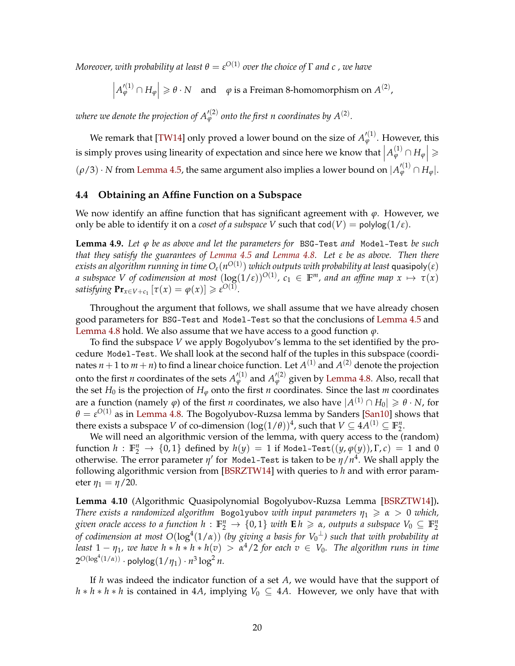<span id="page-20-2"></span> $M$ oreover, with probability at least  $\theta = \varepsilon^{O(1)}$  over the choice of  $\Gamma$  and  $c$  , we have

 $\left| A_{\varphi}^{\prime(1)} \cap H_{\varphi} \right| \geqslant \theta \cdot N$  and  $\varphi$  is a Freiman 8-homomorphism on  $A^{(2)}$ ,

where we denote the projection of  $A_{\varphi}^{\prime\left( 2\right) }$  onto the first n coordinates by  $A^{(2)}.$ 

We remark that [\[TW14\]](#page-26-8) only proved a lower bound on the size of  $A'^{(1)}_\varphi$ . However, this is simply proves using linearity of expectation and since here we know that  $\left| A_{\varphi}^{(1)} \cap H_{\varphi} \right| \geqslant$  $\overline{\phantom{a}}$  $(\rho/3) \cdot N$  from [Lemma 4.5,](#page-17-0) the same argument also implies a lower bound on  $|A_{\varphi}^{\prime(1)} \cap H_{\varphi}|$ .

### **4.4 Obtaining an Affine Function on a Subspace**

We now identify an affine function that has significant agreement with  $\varphi$ . However, we only be able to identify it on a *coset of a subspace* V such that  $\text{cod}(V) = \text{polylog}(1/\varepsilon)$ .

<span id="page-20-1"></span>**Lemma 4.9.** *Let ϕ be as above and let the parameters for* BSG-Test *and* Model-Test *be such that they satisfy the guarantees of [Lemma 4.5](#page-17-0) and [Lemma 4.8.](#page-19-0) Let ε be as above. Then there*  $e$ xists an algorithm running in time  $O_\varepsilon(n^{O(1)})$  which outputs with probability at least  $\mathsf{quasipoly}(\varepsilon)$ *a* subspace V of codimension at most  $(\log(1/\varepsilon))^{O(1)}$ ,  $c_1 \in \mathbb{F}^m$ , and an affine map  $x \mapsto \tau(x)$ *satisfying*  $\mathbf{Pr}_{x \in V+c_1} [\tau(x) = \varphi(x)] \geqslant \varepsilon^{O(1)}.$ 

Throughout the argument that follows, we shall assume that we have already chosen good parameters for BSG-Test and Model-Test so that the conclusions of [Lemma 4.5](#page-17-0) and [Lemma 4.8](#page-19-0) hold. We also assume that we have access to a good function *ϕ*.

To find the subspace *V* we apply Bogolyubov's lemma to the set identified by the procedure Model-Test. We shall look at the second half of the tuples in this subspace (coordinates  $n + 1$  to  $m + n$ ) to find a linear choice function. Let  $A^{(1)}$  and  $A^{(2)}$  denote the projection onto the first *n* coordinates of the sets  $A'^{(1)}_{\varphi}$  and  $A'^{(2)}_{\varphi}$  given by [Lemma 4.8.](#page-19-0) Also, recall that the set  $H_0$  is the projection of  $H_\varphi$  onto the first *n* coordinates. Since the last *m* coordinates are a function (namely  $\varphi$ ) of the first *n* coordinates, we also have  $|A^{(1)} \cap H_0| \geqslant \theta \cdot N$ , for  $\theta = \varepsilon^{O(1)}$  as in [Lemma 4.8.](#page-19-0) The Bogolyubov-Ruzsa lemma by Sanders [\[San10\]](#page-26-15) shows that there exists a subspace *V* of co-dimension  $(\log(1/\theta))^4$ , such that  $V \subseteq 4A^{(1)} \subseteq \mathbb{F}_2^n$ .

We will need an algorithmic version of the lemma, with query access to the (random) function  $h : \mathbb{F}_2^n \to \{0,1\}$  defined by  $h(y) = 1$  if Model-Test $((y, \varphi(y)), \Gamma, c) = 1$  and 0 otherwise. The error parameter  $\eta'$  for Model-Test is taken to be  $\eta/\mathit{n}^{4}.$  We shall apply the following algorithmic version from [\[BSRZTW14\]](#page-24-5) with queries to *h* and with error parameter  $η_1 = η/20$ .

<span id="page-20-0"></span>**Lemma 4.10** (Algorithmic Quasipolynomial Bogolyubov-Ruzsa Lemma [\[BSRZTW14\]](#page-24-5))**.** *There exists a randomized algorithm* Bogolyubov *with input parameters*  $\eta_1 \ge \alpha > 0$  *which, given oracle access to a function h* :  $\mathbb{F}_2^n \to \{0,1\}$  *with*  $\mathbf{E}$  *h*  $\geq$  *a*, *outputs a subspace*  $V_0 \subseteq \mathbb{F}_2^n$ of codimension at most O $(\log^4(1/\alpha))$  (by giving a basis for V<sub>0</sub><sup>⊥</sup>) such that with probability at *least*  $1 - \eta_1$ , we have  $h * h * h * h(v) > \alpha^4/2$  for each  $v \in V_0$ . The algorithm runs in time  $2^{O(\log^4(1/\alpha))} \cdot \mathsf{polylog}(1/\eta_1) \cdot n^3 \log^2 n.$ 

If *h* was indeed the indicator function of a set *A*, we would have that the support of  $h * h * h * h$  is contained in 4*A*, implying  $V_0 \subseteq 4A$ . However, we only have that with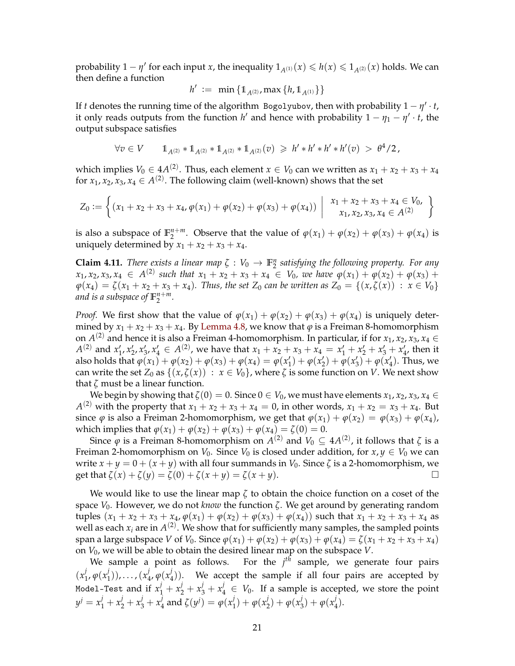probability  $1 - \eta'$  for each input *x*, the inequality  $1_{A^{(1)}}(x) \leqslant h(x) \leqslant 1_{A^{(2)}}(x)$  holds. We can then define a function

$$
h' \ := \ \min \, \{ 1\hskip-3.5pt1_{A^{(2)}} , \max \, \{ h, 1\hskip-3.5pt1_{A^{(1)}} \} \}
$$

If *t* denotes the running time of the algorithm Bogolyubov, then with probability  $1 - \eta' \cdot t$ , it only reads outputs from the function  $h'$  and hence with probability  $1 - \eta_1 - \eta' \cdot t$ , the output subspace satisfies

$$
\forall v \in V \qquad 1\!\!1_{A^{(2)}} * 1\!\!1_{A^{(2)}} * 1\!\!1_{A^{(2)}} * 1\!\!1_{A^{(2)}}(v) \ \geqslant \ h' * h' * h' * h'(v) \ > \ \theta^4/2 \, ,
$$

which implies  $V_0 \in 4A^{(2)}$ . Thus, each element  $x \in V_0$  can we written as  $x_1 + x_2 + x_3 + x_4$ for  $x_1, x_2, x_3, x_4 \in A^{(2)}$ . The following claim (well-known) shows that the set

$$
Z_0 := \left\{ (x_1 + x_2 + x_3 + x_4, \varphi(x_1) + \varphi(x_2) + \varphi(x_3) + \varphi(x_4)) \middle| \begin{array}{c} x_1 + x_2 + x_3 + x_4 \in V_0, \\ x_1, x_2, x_3, x_4 \in A^{(2)} \end{array} \right\}
$$

is also a subspace of  $\mathbb{F}_2^{n+m}$  $2^{n+m}$ . Observe that the value of  $\varphi(x_1) + \varphi(x_2) + \varphi(x_3) + \varphi(x_4)$  is uniquely determined by  $x_1 + x_2 + x_3 + x_4$ .

<span id="page-21-0"></span>**Claim 4.11.** *There exists a linear map*  $\zeta: V_0 \to \mathbb{F}_2^n$  satisfying the following property. For any  $x_1, x_2, x_3, x_4 \in A^{(2)}$  such that  $x_1 + x_2 + x_3 + x_4 \in V_0$ , we have  $\varphi(x_1) + \varphi(x_2) + \varphi(x_3) + \varphi(x_4) + \varphi(x_4) + \varphi(x_5)$  $\varphi(x_4) = \zeta(x_1 + x_2 + x_3 + x_4)$ *. Thus, the set*  $Z_0$  *can be written as*  $Z_0 = \{(x, \zeta(x)) : x \in V_0\}$ *and is a subspace of*  $\mathbb{F}_2^{n+m}$ 2 *.*

*Proof.* We first show that the value of  $\varphi(x_1) + \varphi(x_2) + \varphi(x_3) + \varphi(x_4)$  is uniquely determined by  $x_1 + x_2 + x_3 + x_4$ . By [Lemma 4.8,](#page-19-0) we know that  $\varphi$  is a Freiman 8-homomorphism on  $A^{(2)}$  and hence it is also a Freiman 4-homomorphism. In particular, if for  $x_1, x_2, x_3, x_4 \in$  $A^{(2)}$  and  $x'_1, x'_2, x'_3, x'_4 \in A^{(2)}$ , we have that  $x_1 + x_2 + x_3 + x_4 = x'_1 + x'_2 + x'_3 + x'_4$ , then it also holds that  $\varphi(x_1) + \varphi(x_2) + \varphi(x_3) + \varphi(x_4) = \varphi(x'_1) + \varphi(x'_2) + \varphi(x'_3) + \varphi(x'_4)$ . Thus, we can write the set  $Z_0$  as  $\{(x,\zeta(x)) : x \in V_0\}$ , where  $\zeta$  is some function on *V*. We next show that *ζ* must be a linear function.

We begin by showing that  $\zeta(0) = 0$ . Since  $0 \in V_0$ , we must have elements  $x_1, x_2, x_3, x_4 \in$ *A*<sup>(2)</sup> with the property that  $x_1 + x_2 + x_3 + x_4 = 0$ , in other words,  $x_1 + x_2 = x_3 + x_4$ . But since  $\varphi$  is also a Freiman 2-homomorphism, we get that  $\varphi(x_1) + \varphi(x_2) = \varphi(x_3) + \varphi(x_4)$ , which implies that  $\varphi(x_1) + \varphi(x_2) + \varphi(x_3) + \varphi(x_4) = \zeta(0) = 0$ .

Since  $\varphi$  is a Freiman 8-homomorphism on  $A^{(2)}$  and  $V_0 \subseteq 4A^{(2)}$ , it follows that  $\zeta$  is a Freiman 2-homomorphism on  $V_0$ . Since  $V_0$  is closed under addition, for  $x, y \in V_0$  we can write  $x + y = 0 + (x + y)$  with all four summands in  $V_0$ . Since  $\zeta$  is a 2-homomorphism, we get that  $\zeta(x) + \zeta(y) = \zeta(0) + \zeta(x+y) = \zeta(x+y)$ .

We would like to use the linear map *ζ* to obtain the choice function on a coset of the space *V*0. However, we do not *know* the function *ζ*. We get around by generating random tuples  $(x_1 + x_2 + x_3 + x_4, \varphi(x_1) + \varphi(x_2) + \varphi(x_3) + \varphi(x_4)$  such that  $x_1 + x_2 + x_3 + x_4$  as well as each  $x_i$  are in  $A^{(2)}$ . We show that for sufficiently many samples, the sampled points span a large subspace *V* of *V*<sub>0</sub>. Since  $\varphi(x_1) + \varphi(x_2) + \varphi(x_3) + \varphi(x_4) = \zeta(x_1 + x_2 + x_3 + x_4)$ on *V*0, we will be able to obtain the desired linear map on the subspace *V*.

We sample a point as follows. For the *j th* sample, we generate four pairs  $(x_1^j)$  $j_1$ ,  $\varphi(x_1^j)$  $\binom{j}{1}), \ldots, \binom{x_j^j}{j}$  $j_4$ ,  $\varphi(x_4^j)$  $\binom{1}{4}$ ). We accept the sample if all four pairs are accepted by Model-Test and if  $x_1^j + x_2^j + x_3^j + x_4^j \in V_0$ . If a sample is accepted, we store the point  $y^j = x_1^j + x_2^j + x_3^j + x_4^j$  $\frac{d}{4}$  and  $\zeta(y^j) = \varphi(x_1^j)$  $j_{1}^{j}$  +  $\varphi(x_{2}^{j})$  $(\frac{j}{2}) + \varphi(x_3^j)$  $(\frac{j}{3}) + \varphi(x_4^j)$  $\binom{1}{4}$ .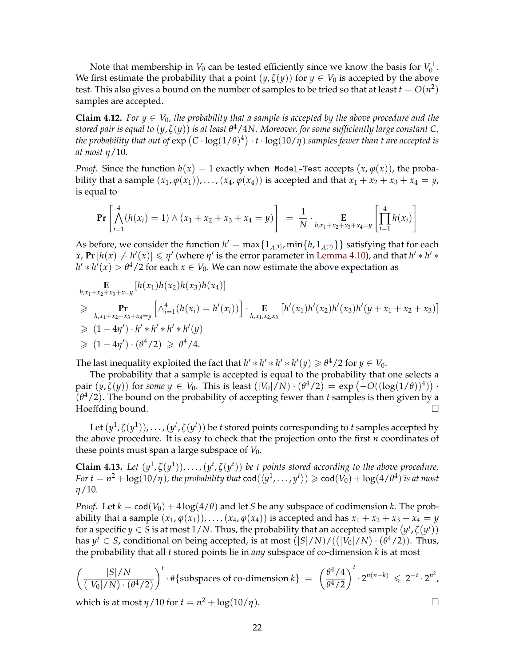Note that membership in  $V_0$  can be tested efficiently since we know the basis for  $V_0^{\perp}$ . We first estimate the probability that a point  $(y, \zeta(y))$  for  $y \in V_0$  is accepted by the above test. This also gives a bound on the number of samples to be tried so that at least  $t = O(n^2)$ samples are accepted.

<span id="page-22-0"></span>**Claim 4.12.** *For*  $y \in V_0$ *, the probability that a sample is accepted by the above procedure and the stored pair is equal to* (*y*, *ζ*(*y*)) *is at least θ* <sup>4</sup>/4*N. Moreover, for some sufficiently large constant C,* the probability that out of  $\exp\left(C\cdot\log(1/\theta)^4\right)\cdot t\cdot\log(10/\eta)$  samples fewer than t are accepted is *at most η*/10*.*

*Proof.* Since the function  $h(x) = 1$  exactly when Model-Test accepts  $(x, \varphi(x))$ , the probability that a sample  $(x_1, \varphi(x_1))$ , ...,  $(x_4, \varphi(x_4))$  is accepted and that  $x_1 + x_2 + x_3 + x_4 = y$ , is equal to

$$
\Pr\left[\bigwedge_{i=1}^{4} (h(x_i) = 1) \wedge (x_1 + x_2 + x_3 + x_4 = y)\right] = \frac{1}{N} \cdot \Pr_{h, x_1 + x_2 + x_3 + x_4 = y} \left[\prod_{i=1}^{4} h(x_i)\right]
$$

As before, we consider the function  $h' = \max\{1_{A^{(1)}}$ ,  $\min\{h, 1_{A^{(2)}}\}\}$  satisfying that for each  $f(x, \text{Pr}[h(x) \neq h'(x)] \leq \eta'$  (where  $\eta'$  is the error parameter in [Lemma 4.10\)](#page-20-0), and that  $h' * h' * h'$  $h' * h'(x) > \theta^4/2$  for each  $x \in V_0$ . We can now estimate the above expectation as

$$
\mathbf{E}_{h,x_1+x_2+x_3+x_y}[h(x_1)h(x_2)h(x_3)h(x_4)]
$$
\n
$$
\geq \mathbf{P}_{h,x_1+x_2+x_3+x_4=y} \left[ \wedge_{i=1}^4 (h(x_i) = h'(x_i)) \right] \cdot \mathbf{E}_{h,x_1,x_2,x_3} \left[ h'(x_1)h'(x_2)h'(x_3)h'(y+x_1+x_2+x_3) \right]
$$
\n
$$
\geq (1-4\eta') \cdot h' * h' * h'(y)
$$
\n
$$
\geq (1-4\eta') \cdot (\theta^4/2) \geq \theta^4/4.
$$

The last inequality exploited the fact that  $h' * h' * h' * h'(y) \ge \theta^4/2$  for  $y \in V_0$ .

The probability that a sample is accepted is equal to the probability that one selects a  $\text{pair } (y, \zeta(y)) \text{ for some } y \in V_0. \text{ This is least } (|V_0|/N) \cdot (\theta^4/2) = \exp(-O((\log(1/\theta))^4)) \cdot$  $(\theta^4/2)$ . The bound on the probability of accepting fewer than *t* samples is then given by a Hoeffding bound.  $\Box$ 

Let  $(y^1,\zeta(y^1)),\ldots,(y^t,\zeta(y^t))$  be  $t$  stored points corresponding to  $t$  samples accepted by the above procedure. It is easy to check that the projection onto the first *n* coordinates of these points must span a large subspace of  $V_0$ .

<span id="page-22-1"></span>**Claim 4.13.** Let  $(y^1, \zeta(y^1)), \ldots, (y^t, \zeta(y^t))$  be t points stored according to the above procedure.  $For\ t=n^2+\log(10/\eta)$ , the probability that  $\text{cod}(\langle y^1,\ldots,y^t\rangle)\geqslant \text{cod}(V_0)+\log(4/\theta^4)$  is at most *η*/10*.*

*Proof.* Let  $k = \text{cod}(V_0) + 4 \log(4/\theta)$  and let *S* be any subspace of codimension *k*. The probability that a sample  $(x_1, \varphi(x_1))$ , ...,  $(x_4, \varphi(x_4))$  is accepted and has  $x_1 + x_2 + x_3 + x_4 = y$ for a specific  $y \in S$  is at most  $1/N$ . Thus, the probability that an accepted sample  $(y^j, \zeta(y^j))$ has  $y^j \in S$ , conditional on being accepted, is at most  $(|S|/N)/((|V_0|/N) \cdot (\theta^4/2)).$  Thus, the probability that all *t* stored points lie in *any* subspace of co-dimension *k* is at most

$$
\left(\frac{|S|/N}{(|V_0|/N) \cdot (\theta^4/2)}\right)^t \cdot \#\{\text{subspaces of co-dimension } k\} = \left(\frac{\theta^4/4}{\theta^4/2}\right)^t \cdot 2^{n(n-k)} \leq 2^{-t} \cdot 2^{n^2},
$$

which is at most  $\eta/10$  for  $t = n^2 + \log(10/\eta)$ .

22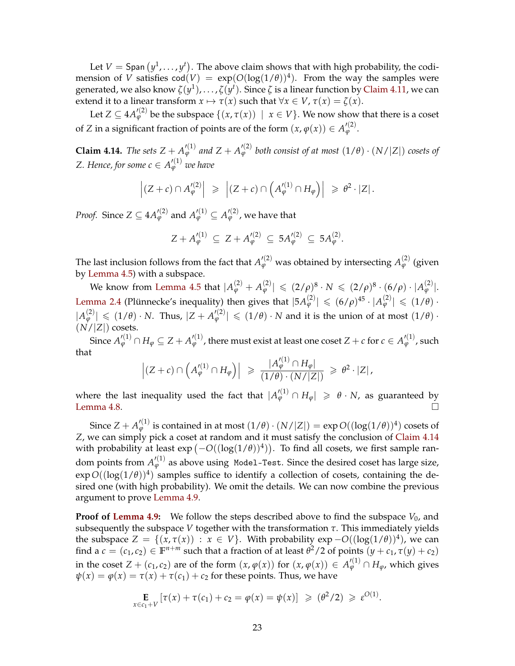Let  $V =$  Span  $(y^1, \ldots, y^t)$ . The above claim shows that with high probability, the codimension of *V* satisfies  $\text{cod}(V) = \exp(O(\log(1/\theta))^4)$ . From the way the samples were generated, we also know  $\zeta(y^1),\ldots,\zeta(y^t).$  Since  $\zeta$  is a linear function by [Claim 4.11,](#page-21-0) we can extend it to a linear transform  $x \mapsto \tau(x)$  such that  $\forall x \in V$ ,  $\tau(x) = \zeta(x)$ .

Let  $Z \subseteq 4A'^{(2)}_\varphi$  be the subspace  $\{(x,\tau(x))\;\mid\; x \in V\}.$  We now show that there is a coset of *Z* in a significant fraction of points are of the form  $(x, \varphi(x)) \in A'^{(2)}_{\varphi}$ .

<span id="page-23-0"></span>**Claim 4.14.** *The sets*  $Z + A'^{(1)}_{\varphi}$  *and*  $Z + A'^{(2)}_{\varphi}$  *both consist of at most*  $(1/\theta) \cdot (N/|Z|)$  *cosets of Z. Hence, for some*  $c \in A_{\varphi}^{\prime(1)}$  *we have* 

$$
\left| (Z+c) \cap A'^{(2)}_{\varphi} \right| \geqslant \left| (Z+c) \cap \left( A'^{(1)}_{\varphi} \cap H_{\varphi} \right) \right| \geqslant \theta^2 \cdot |Z|.
$$

*Proof.* Since  $Z \subseteq 4A'^{(2)}_\varphi$  and  $A'^{(1)}_\varphi \subseteq A'^{(2)}_\varphi$ , we have that

$$
Z + A_{\varphi}^{\prime (1)} \subseteq Z + A_{\varphi}^{\prime (2)} \subseteq 5A_{\varphi}^{\prime (2)} \subseteq 5A_{\varphi}^{\prime (2)}.
$$

The last inclusion follows from the fact that  $A'^{(2)}_\varphi$  was obtained by intersecting  $A^{(2)}_\varphi$  (given by [Lemma 4.5\)](#page-17-0) with a subspace.

 $\text{We know from Lemma 4.5 that } |A_{\varphi}^{(2)} + A_{\varphi}^{(2)}| \, \leqslant \, (2/\rho)^8 \cdot N \, \leqslant \, (2/\rho)^8 \cdot (6/\rho) \cdot |A_{\varphi}^{(2)}|.$  $\text{We know from Lemma 4.5 that } |A_{\varphi}^{(2)} + A_{\varphi}^{(2)}| \, \leqslant \, (2/\rho)^8 \cdot N \, \leqslant \, (2/\rho)^8 \cdot (6/\rho) \cdot |A_{\varphi}^{(2)}|.$  $\text{We know from Lemma 4.5 that } |A_{\varphi}^{(2)} + A_{\varphi}^{(2)}| \, \leqslant \, (2/\rho)^8 \cdot N \, \leqslant \, (2/\rho)^8 \cdot (6/\rho) \cdot |A_{\varphi}^{(2)}|.$ [Lemma 2.4](#page-6-1) (Plünnecke's inequality) then gives that  $|5A_{\varphi}^{(2)}| \leqslant (6/\rho)^{45} \cdot |A_{\varphi}^{(2)}| \leqslant (1/\theta) \cdot$  $|A_{\varphi}^{(2)}| \leq (1/\theta) \cdot N$ . Thus,  $|Z + A_{\varphi}^{\prime(2)}| \leq (1/\theta) \cdot N$  and it is the union of at most  $(1/\theta) \cdot N$  $(N/|Z|)$  cosets.

Since  $A'^{(1)}_\varphi\cap H_\varphi\subseteq Z+A'^{(1)}_\varphi$  , there must exist at least one coset  $Z+c$  for  $c\in A'^{(1)}_\varphi$  , such that

$$
\left| (Z+c) \cap \left( A'^{(1)}_{\varphi} \cap H_{\varphi} \right) \right| \geq \frac{|A'^{(1)}_{\varphi} \cap H_{\varphi}|}{(1/\theta) \cdot (N/|Z|)} \geq \theta^2 \cdot |Z|,
$$

where the last inequality used the fact that  $|A_{\varphi}^{\prime(1)} \cap H_{\varphi}| \geqslant \theta \cdot N$ , as guaranteed by [Lemma 4.8.](#page-19-0)  $\Box$ 

 $\textnormal{Since } Z+A'^{(1)}_\varphi \textnormal{ is contained in at most } (1/\theta)\cdot (N/|Z|)=\exp O((\log(1/\theta))^4) \textnormal{ cosets of } \theta.$ *Z*, we can simply pick a coset at random and it must satisfy the conclusion of [Claim 4.14](#page-23-0) with probability at least  $\exp(-O((\log(1/\theta))^4))$ . To find all cosets, we first sample random points from  $A'^{(1)}_\varphi$  as above using Model-Test. Since the desired coset has large size,  $\exp O((\log(1/\theta))^4)$  samples suffice to identify a collection of cosets, containing the desired one (with high probability). We omit the details. We can now combine the previous argument to prove [Lemma 4.9.](#page-20-1)

**Proof of [Lemma 4.9:](#page-20-1)** We follow the steps described above to find the subspace  $V_0$ , and subsequently the subspace *V* together with the transformation  $\tau$ . This immediately yields the subspace  $Z = \{(x, \tau(x)) : x \in V\}$ . With probability  $\exp -O((\log(1/\theta))^4)$ , we can find a  $c = (c_1, c_2) \in \mathbb{F}^{n+m}$  such that a fraction of at least  $\theta^2/2$  of points  $(y + c_1, \tau(y) + c_2)$ in the coset  $Z + (c_1, c_2)$  are of the form  $(x, \varphi(x))$  for  $(x, \varphi(x)) \in A'^{(1)}_{\varphi} \cap H_{\varphi}$ , which gives  $\psi(x) = \varphi(x) = \tau(x) + \tau(c_1) + c_2$  for these points. Thus, we have

$$
\mathop{\mathbf{E}}_{x \in c_1 + V} \left[ \tau(x) + \tau(c_1) + c_2 = \varphi(x) = \psi(x) \right] \geq (\theta^2/2) \geq \varepsilon^{O(1)}.
$$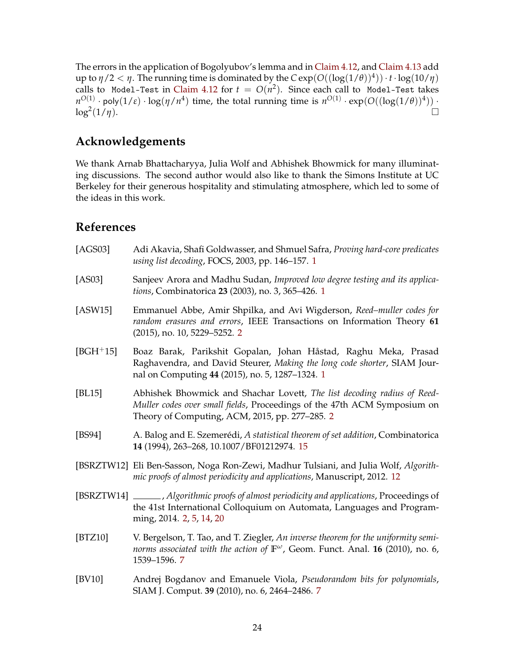The errors in the application of Bogolyubov's lemma and in [Claim 4.12,](#page-22-0) and [Claim 4.13](#page-22-1) add up to  $\eta/2 < \eta$ . The running time is dominated by the  $C \exp(O((\log(1/\theta))^4)) \cdot t \cdot \log(10/\eta)$ calls to Model-Test in [Claim 4.12](#page-22-0) for  $t\,=\,O(n^2).$  Since each call to Model-Test takes  $n^{O(1)} \cdot \textsf{poly}(1/\varepsilon) \cdot \log(\eta/n^4)$  time, the total running time is  $n^{O(1)} \cdot \exp(O((\log(1/\theta))^4)) \cdot$  $\log^2(1/\eta)$ . (1/*η*).

# **Acknowledgements**

We thank Arnab Bhattacharyya, Julia Wolf and Abhishek Bhowmick for many illuminating discussions. The second author would also like to thank the Simons Institute at UC Berkeley for their generous hospitality and stimulating atmosphere, which led to some of the ideas in this work.

## **References**

<span id="page-24-4"></span><span id="page-24-3"></span><span id="page-24-2"></span><span id="page-24-1"></span><span id="page-24-0"></span>

| [AGS03]     | Adi Akavia, Shafi Goldwasser, and Shmuel Safra, Proving hard-core predicates<br>using list decoding, FOCS, 2003, pp. 146-157. 1                                                                       |
|-------------|-------------------------------------------------------------------------------------------------------------------------------------------------------------------------------------------------------|
| [AS03]      | Sanjeev Arora and Madhu Sudan, Improved low degree testing and its applica-<br>tions, Combinatorica 23 (2003), no. 3, 365-426. 1                                                                      |
| [ASW15]     | Emmanuel Abbe, Amir Shpilka, and Avi Wigderson, Reed-muller codes for<br>random erasures and errors, IEEE Transactions on Information Theory 61<br>(2015), no. 10, 5229–5252. 2                       |
| $[BGH^+15]$ | Boaz Barak, Parikshit Gopalan, Johan Håstad, Raghu Meka, Prasad<br>Raghavendra, and David Steurer, Making the long code shorter, SIAM Jour-<br>nal on Computing 44 (2015), no. 5, 1287-1324. 1        |
| [BL15]      | Abhishek Bhowmick and Shachar Lovett, The list decoding radius of Reed-<br>Muller codes over small fields, Proceedings of the 47th ACM Symposium on<br>Theory of Computing, ACM, 2015, pp. 277-285. 2 |
| [BS94]      | A. Balog and E. Szemerédi, A statistical theorem of set addition, Combinatorica<br>14 (1994), 263-268, 10.1007/BF01212974. 15                                                                         |
|             | [BSRZTW12] Eli Ben-Sasson, Noga Ron-Zewi, Madhur Tulsiani, and Julia Wolf, Algorith-<br>mic proofs of almost periodicity and applications, Manuscript, 2012. 12                                       |
|             | [BSRZTW14] ______, Algorithmic proofs of almost periodicity and applications, Proceedings of<br>the 41st International Colloquium on Automata, Languages and Program-<br>ming, 2014. 2, 5, 14, 20     |
| [BTZ10]     | V. Bergelson, T. Tao, and T. Ziegler, An inverse theorem for the uniformity semi-<br>norms associated with the action of $\mathbb{F}^{\omega}$ , Geom. Funct. Anal. 16 (2010), no. 6,<br>1539-1596.7  |
| [BV10]      | Andrej Bogdanov and Emanuele Viola, Pseudorandom bits for polynomials,                                                                                                                                |

<span id="page-24-9"></span><span id="page-24-8"></span><span id="page-24-7"></span><span id="page-24-6"></span><span id="page-24-5"></span>SIAM J. Comput. **39** (2010), no. 6, 2464–2486. [7](#page-7-1)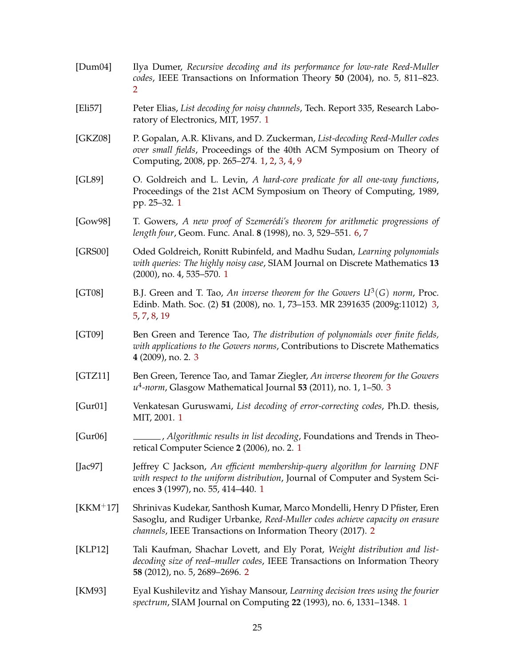<span id="page-25-14"></span><span id="page-25-13"></span><span id="page-25-12"></span><span id="page-25-11"></span><span id="page-25-10"></span><span id="page-25-9"></span><span id="page-25-8"></span><span id="page-25-7"></span><span id="page-25-6"></span><span id="page-25-5"></span><span id="page-25-4"></span><span id="page-25-3"></span><span id="page-25-2"></span><span id="page-25-1"></span><span id="page-25-0"></span>[Dum04] Ilya Dumer, *Recursive decoding and its performance for low-rate Reed-Muller codes*, IEEE Transactions on Information Theory **50** (2004), no. 5, 811–823. [2](#page-2-1) [Eli57] Peter Elias, *List decoding for noisy channels*, Tech. Report 335, Research Laboratory of Electronics, MIT, 1957. [1](#page-0-0) [GKZ08] P. Gopalan, A.R. Klivans, and D. Zuckerman, *List-decoding Reed-Muller codes over small fields*, Proceedings of the 40th ACM Symposium on Theory of Computing, 2008, pp. 265–274. [1,](#page-0-0) [2,](#page-2-1) [3,](#page-3-1) [4,](#page-4-0) [9](#page-9-2) [GL89] O. Goldreich and L. Levin, *A hard-core predicate for all one-way functions*, Proceedings of the 21st ACM Symposium on Theory of Computing, 1989, pp. 25–32. [1](#page-0-0) [Gow98] T. Gowers, *A new proof of Szemerédi's theorem for arithmetic progressions of length four*, Geom. Func. Anal. **8** (1998), no. 3, 529–551. [6,](#page-6-2) [7](#page-7-1) [GRS00] Oded Goldreich, Ronitt Rubinfeld, and Madhu Sudan, *Learning polynomials with queries: The highly noisy case*, SIAM Journal on Discrete Mathematics **13** (2000), no. 4, 535–570. [1](#page-0-0) [GT08] B.J. Green and T. Tao, An inverse theorem for the Gowers  $U^3(G)$  norm, Proc. Edinb. Math. Soc. (2) **51** (2008), no. 1, 73–153. MR 2391635 (2009g:11012) [3,](#page-3-1) [5,](#page-5-1) [7,](#page-7-1) [8,](#page-8-2) [19](#page-19-1) [GT09] Ben Green and Terence Tao, *The distribution of polynomials over finite fields, with applications to the Gowers norms*, Contributions to Discrete Mathematics **4** (2009), no. 2. [3](#page-3-1) [GTZ11] Ben Green, Terence Tao, and Tamar Ziegler, *An inverse theorem for the Gowers u* 4 *-norm*, Glasgow Mathematical Journal **53** (2011), no. 1, 1–50. [3](#page-3-1) [Gur01] Venkatesan Guruswami, *List decoding of error-correcting codes*, Ph.D. thesis, MIT, 2001. [1](#page-0-0) [Gur06] , *Algorithmic results in list decoding*, Foundations and Trends in Theoretical Computer Science **2** (2006), no. 2. [1](#page-0-0) [Jac97] Jeffrey C Jackson, *An efficient membership-query algorithm for learning DNF with respect to the uniform distribution*, Journal of Computer and System Sciences **3** (1997), no. 55, 414–440. [1](#page-0-0) [KKM+17] Shrinivas Kudekar, Santhosh Kumar, Marco Mondelli, Henry D Pfister, Eren Sasoglu, and Rudiger Urbanke, *Reed-Muller codes achieve capacity on erasure channels*, IEEE Transactions on Information Theory (2017). [2](#page-2-1) [KLP12] Tali Kaufman, Shachar Lovett, and Ely Porat, *Weight distribution and listdecoding size of reed–muller codes*, IEEE Transactions on Information Theory **58** (2012), no. 5, 2689–2696. [2](#page-2-1) [KM93] Eyal Kushilevitz and Yishay Mansour, *Learning decision trees using the fourier spectrum*, SIAM Journal on Computing **22** (1993), no. 6, 1331–1348. [1](#page-0-0)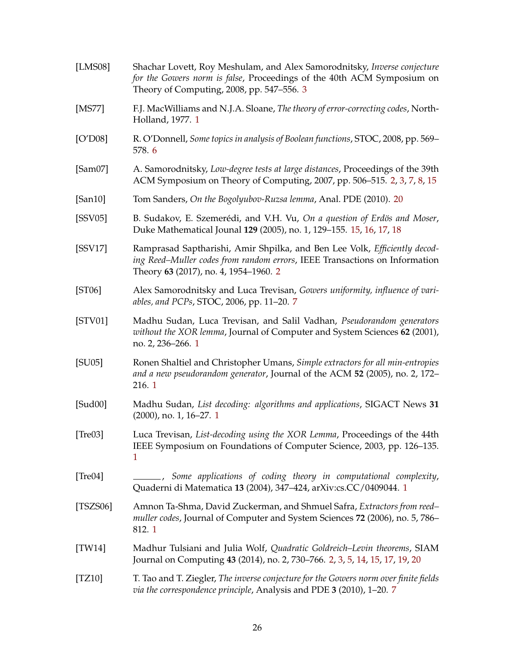<span id="page-26-15"></span><span id="page-26-14"></span><span id="page-26-13"></span><span id="page-26-12"></span><span id="page-26-11"></span><span id="page-26-10"></span><span id="page-26-9"></span><span id="page-26-8"></span><span id="page-26-7"></span><span id="page-26-6"></span><span id="page-26-5"></span><span id="page-26-4"></span><span id="page-26-3"></span><span id="page-26-2"></span><span id="page-26-1"></span><span id="page-26-0"></span>

| [LMS08]      | Shachar Lovett, Roy Meshulam, and Alex Samorodnitsky, Inverse conjecture<br>for the Gowers norm is false, Proceedings of the 40th ACM Symposium on<br>Theory of Computing, 2008, pp. 547–556. 3  |
|--------------|--------------------------------------------------------------------------------------------------------------------------------------------------------------------------------------------------|
| $[$ MS77 $]$ | F.J. MacWilliams and N.J.A. Sloane, The theory of error-correcting codes, North-<br>Holland, 1977. 1                                                                                             |
| [O'D08]      | R. O'Donnell, Some topics in analysis of Boolean functions, STOC, 2008, pp. 569–<br>578.6                                                                                                        |
| [Sam07]      | A. Samorodnitsky, Low-degree tests at large distances, Proceedings of the 39th<br>ACM Symposium on Theory of Computing, 2007, pp. 506-515. 2, 3, 7, 8, 15                                        |
| [San10]      | Tom Sanders, On the Bogolyubov-Ruzsa lemma, Anal. PDE (2010). 20                                                                                                                                 |
| [SSV05]      | B. Sudakov, E. Szemerédi, and V.H. Vu, On a question of Erdös and Moser,<br>Duke Mathematical Jounal 129 (2005), no. 1, 129-155. 15, 16, 17, 18                                                  |
| [SSV17]      | Ramprasad Saptharishi, Amir Shpilka, and Ben Lee Volk, Efficiently decod-<br>ing Reed-Muller codes from random errors, IEEE Transactions on Information<br>Theory 63 (2017), no. 4, 1954–1960. 2 |
| [ST06]       | Alex Samorodnitsky and Luca Trevisan, Gowers uniformity, influence of vari-<br>ables, and PCPs, STOC, 2006, pp. 11-20. 7                                                                         |
| [STV01]      | Madhu Sudan, Luca Trevisan, and Salil Vadhan, Pseudorandom generators<br>without the XOR lemma, Journal of Computer and System Sciences 62 (2001),<br>no. 2, 236–266. 1                          |
| [SU05]       | Ronen Shaltiel and Christopher Umans, Simple extractors for all min-entropies<br>and a new pseudorandom generator, Journal of the ACM 52 (2005), no. 2, 172-<br>216.1                            |
| [Sud00]      | Madhu Sudan, List decoding: algorithms and applications, SIGACT News 31<br>$(2000)$ , no. 1, 16–27. 1                                                                                            |
| [Tree03]     | Luca Trevisan, List-decoding using the XOR Lemma, Proceedings of the 44th<br>IEEE Symposium on Foundations of Computer Science, 2003, pp. 126–135.<br>1                                          |
| [Tree04]     | -, Some applications of coding theory in computational complexity,<br>Quaderni di Matematica 13 (2004), 347-424, arXiv:cs.CC/0409044. 1                                                          |
| [TSZS06]     | Amnon Ta-Shma, David Zuckerman, and Shmuel Safra, Extractors from reed-<br>muller codes, Journal of Computer and System Sciences 72 (2006), no. 5, 786-<br>812.1                                 |
| [TW14]       | Madhur Tulsiani and Julia Wolf, Quadratic Goldreich–Levin theorems, SIAM<br>Journal on Computing 43 (2014), no. 2, 730–766. 2, 3, 5, 14, 15, 17, 19, 20                                          |
| [TZ10]       | T. Tao and T. Ziegler, The inverse conjecture for the Gowers norm over finite fields<br>via the correspondence principle, Analysis and PDE 3 (2010), 1-20. 7                                     |